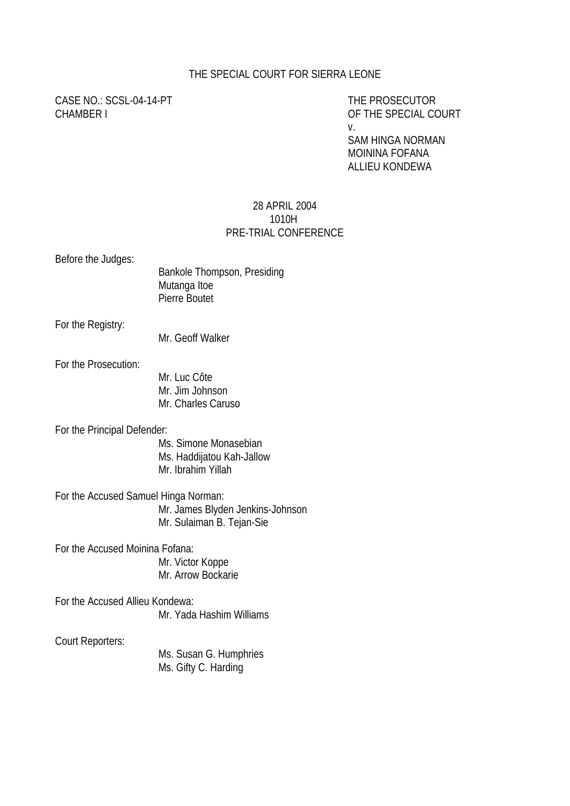## THE SPECIAL COURT FOR SIERRA LEONE

CASE NO.: SCSL-04-14-PT THE PROSECUTOR CHAMBER I CHAMBER I CHAMBER I CHAMBER I CHAMBER I COURT

v.

SAM HINGA NORMAN MOININA FOFANA ALLIEU KONDEWA

## 28 APRIL 2004 1010H PRE-TRIAL CONFERENCE

Before the Judges:

| Bankole Thompson, Presiding |  |
|-----------------------------|--|
| Mutanga Itoe                |  |
| Pierre Boutet               |  |

For the Registry:

Mr. Geoff Walker

For the Prosecution:

Mr. Luc Côte Mr. Jim Johnson Mr. Charles Caruso

For the Principal Defender:

 Ms. Simone Monasebian Ms. Haddijatou Kah-Jallow Mr. Ibrahim Yillah

For the Accused Samuel Hinga Norman: Mr. James Blyden Jenkins-Johnson Mr. Sulaiman B. Tejan-Sie

For the Accused Moinina Fofana:

Mr. Victor Koppe Mr. Arrow Bockarie

For the Accused Allieu Kondewa: Mr. Yada Hashim Williams

Court Reporters:

Ms. Susan G. Humphries Ms. Gifty C. Harding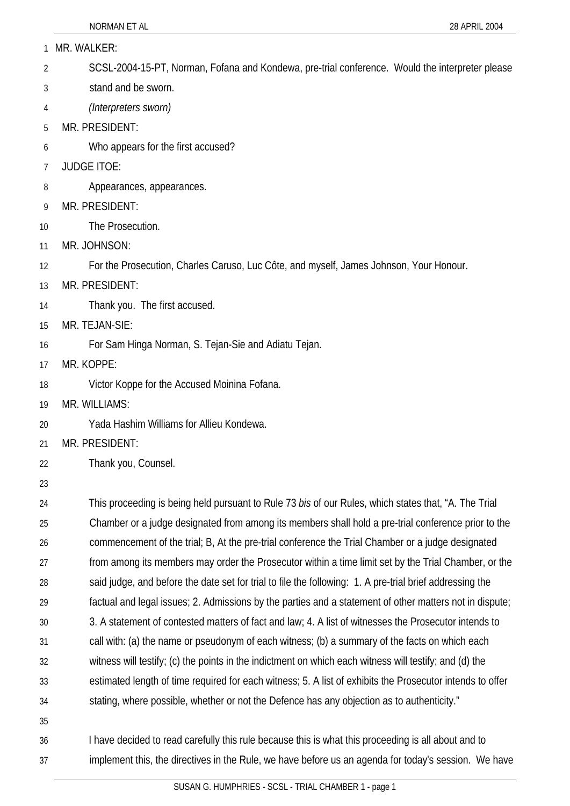| $\mathbf{1}$ |  | MR. WALKER: |
|--------------|--|-------------|
|--------------|--|-------------|

- 2 SCSL-2004-15-PT, Norman, Fofana and Kondewa, pre-trial conference. Would the interpreter please
- 3 stand and be sworn.
- 4 *(Interpreters sworn)*
- 5 MR. PRESIDENT:
- 6 Who appears for the first accused?
- 7 JUDGE ITOE:
- 8 Appearances, appearances.
- 9 MR. PRESIDENT:
- 10 The Prosecution.
- 11 MR. JOHNSON:
- 12 For the Prosecution, Charles Caruso, Luc Côte, and myself, James Johnson, Your Honour.
- 13 MR. PRESIDENT:
- 14 Thank you. The first accused.
- 15 MR. TEJAN-SIE:
- 16 For Sam Hinga Norman, S. Tejan-Sie and Adiatu Tejan.
- 17 MR. KOPPE:
- 18 Victor Koppe for the Accused Moinina Fofana.
- 19 MR. WILLIAMS:
- 20 Yada Hashim Williams for Allieu Kondewa.
- 21 MR. PRESIDENT:
- 22 Thank you, Counsel.
- 23

24 25  $26$ 27 28 29 30 31 32 33 34 35 This proceeding is being held pursuant to Rule 73 *bis* of our Rules, which states that, "A. The Trial Chamber or a judge designated from among its members shall hold a pre-trial conference prior to the commencement of the trial; B, At the pre-trial conference the Trial Chamber or a judge designated from among its members may order the Prosecutor within a time limit set by the Trial Chamber, or the said judge, and before the date set for trial to file the following: 1. A pre-trial brief addressing the factual and legal issues; 2. Admissions by the parties and a statement of other matters not in dispute; 3. A statement of contested matters of fact and law; 4. A list of witnesses the Prosecutor intends to call with: (a) the name or pseudonym of each witness; (b) a summary of the facts on which each witness will testify; (c) the points in the indictment on which each witness will testify; and (d) the estimated length of time required for each witness; 5. A list of exhibits the Prosecutor intends to offer stating, where possible, whether or not the Defence has any objection as to authenticity."

## 36 37 I have decided to read carefully this rule because this is what this proceeding is all about and to implement this, the directives in the Rule, we have before us an agenda for today's session. We have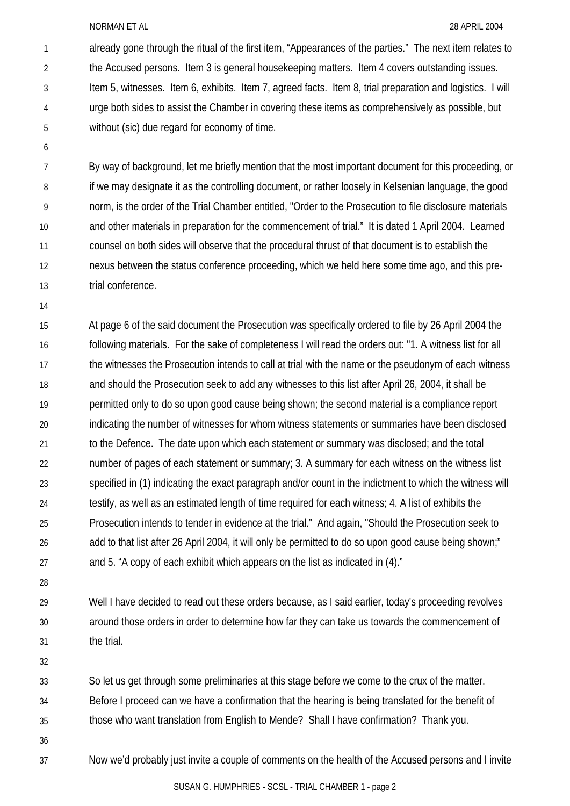already gone through the ritual of the first item, "Appearances of the parties." The next item relates to the Accused persons. Item 3 is general housekeeping matters. Item 4 covers outstanding issues. Item 5, witnesses. Item 6, exhibits. Item 7, agreed facts. Item 8, trial preparation and logistics. I will urge both sides to assist the Chamber in covering these items as comprehensively as possible, but without (sic) due regard for economy of time. 1 2 3 4 5

6

7 8 9 10 11 12 13 By way of background, let me briefly mention that the most important document for this proceeding, or if we may designate it as the controlling document, or rather loosely in Kelsenian language, the good norm, is the order of the Trial Chamber entitled, "Order to the Prosecution to file disclosure materials and other materials in preparation for the commencement of trial." It is dated 1 April 2004. Learned counsel on both sides will observe that the procedural thrust of that document is to establish the nexus between the status conference proceeding, which we held here some time ago, and this pretrial conference.

14

15 16 17 18 19 20 21 22 23 24 25 26 27 At page 6 of the said document the Prosecution was specifically ordered to file by 26 April 2004 the following materials. For the sake of completeness I will read the orders out: "1. A witness list for all the witnesses the Prosecution intends to call at trial with the name or the pseudonym of each witness and should the Prosecution seek to add any witnesses to this list after April 26, 2004, it shall be permitted only to do so upon good cause being shown; the second material is a compliance report indicating the number of witnesses for whom witness statements or summaries have been disclosed to the Defence. The date upon which each statement or summary was disclosed; and the total number of pages of each statement or summary; 3. A summary for each witness on the witness list specified in (1) indicating the exact paragraph and/or count in the indictment to which the witness will testify, as well as an estimated length of time required for each witness; 4. A list of exhibits the Prosecution intends to tender in evidence at the trial." And again, "Should the Prosecution seek to add to that list after 26 April 2004, it will only be permitted to do so upon good cause being shown;" and 5. "A copy of each exhibit which appears on the list as indicated in (4)."

28

29 30 31 Well I have decided to read out these orders because, as I said earlier, today's proceeding revolves around those orders in order to determine how far they can take us towards the commencement of the trial.

32

33 So let us get through some preliminaries at this stage before we come to the crux of the matter.

34 Before I proceed can we have a confirmation that the hearing is being translated for the benefit of

- 35 those who want translation from English to Mende? Shall I have confirmation? Thank you.
- 36 37

Now we'd probably just invite a couple of comments on the health of the Accused persons and I invite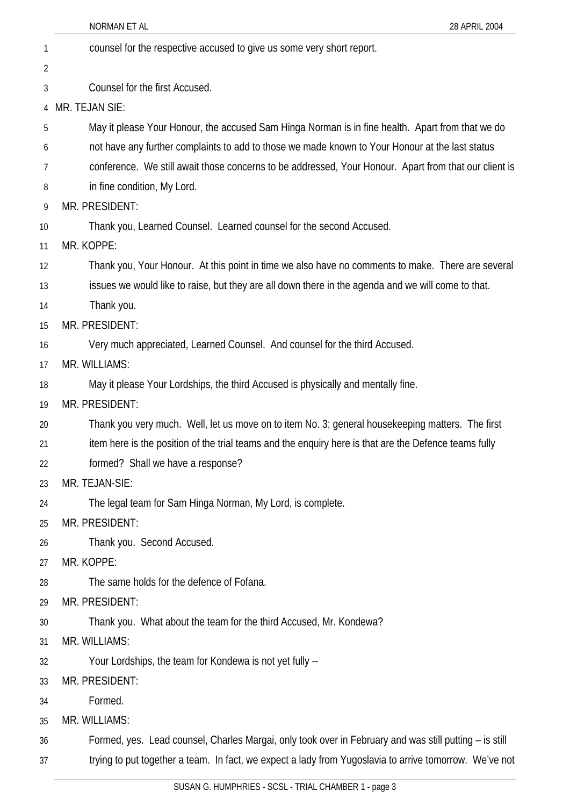|                | NORMAN ET AL<br>28 APRIL 2004                                                                          |
|----------------|--------------------------------------------------------------------------------------------------------|
| 1              | counsel for the respective accused to give us some very short report.                                  |
| $\overline{2}$ |                                                                                                        |
| 3              | Counsel for the first Accused.                                                                         |
| 4              | MR. TEJAN SIE:                                                                                         |
| 5              | May it please Your Honour, the accused Sam Hinga Norman is in fine health. Apart from that we do       |
| 6              | not have any further complaints to add to those we made known to Your Honour at the last status        |
| 7              | conference. We still await those concerns to be addressed, Your Honour. Apart from that our client is  |
| 8              | in fine condition, My Lord.                                                                            |
| 9              | MR. PRESIDENT:                                                                                         |
| 10             | Thank you, Learned Counsel. Learned counsel for the second Accused.                                    |
| 11             | MR. KOPPE:                                                                                             |
| 12             | Thank you, Your Honour. At this point in time we also have no comments to make. There are several      |
| 13             | issues we would like to raise, but they are all down there in the agenda and we will come to that.     |
| 14             | Thank you.                                                                                             |
| 15             | MR. PRESIDENT:                                                                                         |
| 16             | Very much appreciated, Learned Counsel. And counsel for the third Accused.                             |
| 17             | MR. WILLIAMS:                                                                                          |
| 18             | May it please Your Lordships, the third Accused is physically and mentally fine.                       |
| 19             | MR. PRESIDENT:                                                                                         |
| 20             | Thank you very much. Well, let us move on to item No. 3; general housekeeping matters. The first       |
| 21             | item here is the position of the trial teams and the enquiry here is that are the Defence teams fully  |
| 22             | formed? Shall we have a response?                                                                      |
| 23             | MR. TEJAN-SIE:                                                                                         |
| 24             | The legal team for Sam Hinga Norman, My Lord, is complete.                                             |
| 25             | MR. PRESIDENT:                                                                                         |
| 26             | Thank you. Second Accused.                                                                             |
| 27             | MR. KOPPE:                                                                                             |
| 28             | The same holds for the defence of Fofana.                                                              |
| 29             | MR. PRESIDENT:                                                                                         |
| 30             | Thank you. What about the team for the third Accused, Mr. Kondewa?                                     |
| 31             | MR. WILLIAMS:                                                                                          |
| 32             | Your Lordships, the team for Kondewa is not yet fully --                                               |
| 33             | MR. PRESIDENT:                                                                                         |
| 34             | Formed.                                                                                                |
| 35             | MR. WILLIAMS:                                                                                          |
| 36             | Formed, yes. Lead counsel, Charles Margai, only took over in February and was still putting - is still |
| 37             | trying to put together a team. In fact, we expect a lady from Yugoslavia to arrive tomorrow. We've not |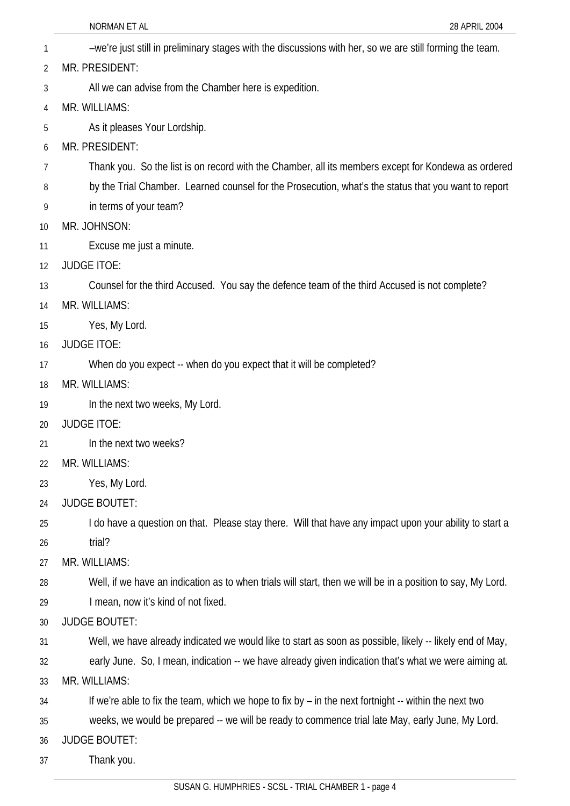NORMAN ET AL 28 APRIL 2004 1 –we're just still in preliminary stages with the discussions with her, so we are still forming the team. 2 3 4 5 6 7 8 9 10 11 12 13 14 15 16 17 18 19 20 21  $22$ 23 24 25 26 27 28 29 30 31 32 33 34 35 36 37 MR. PRESIDENT: All we can advise from the Chamber here is expedition. MR. WILLIAMS: As it pleases Your Lordship. MR. PRESIDENT: Thank you. So the list is on record with the Chamber, all its members except for Kondewa as ordered by the Trial Chamber. Learned counsel for the Prosecution, what's the status that you want to report in terms of your team? MR. JOHNSON: Excuse me just a minute. JUDGE ITOE: Counsel for the third Accused. You say the defence team of the third Accused is not complete? MR. WILLIAMS: Yes, My Lord. JUDGE ITOE: When do you expect -- when do you expect that it will be completed? MR. WILLIAMS: In the next two weeks, My Lord. JUDGE ITOE: In the next two weeks? MR. WILLIAMS: Yes, My Lord. JUDGE BOUTET: I do have a question on that. Please stay there. Will that have any impact upon your ability to start a trial? MR. WILLIAMS: Well, if we have an indication as to when trials will start, then we will be in a position to say, My Lord. I mean, now it's kind of not fixed. JUDGE BOUTET: Well, we have already indicated we would like to start as soon as possible, likely -- likely end of May, early June. So, I mean, indication -- we have already given indication that's what we were aiming at. MR. WILLIAMS: If we're able to fix the team, which we hope to fix by – in the next fortnight -- within the next two weeks, we would be prepared -- we will be ready to commence trial late May, early June, My Lord. JUDGE BOUTET: Thank you.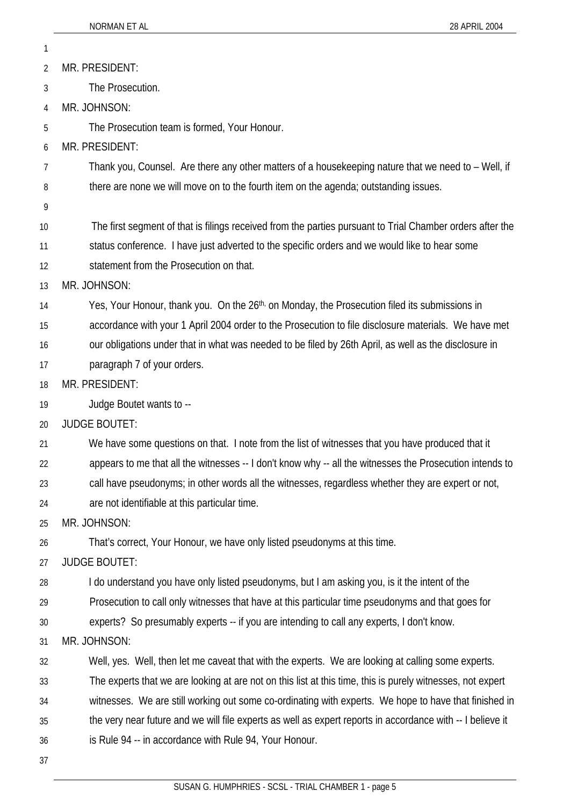| 1  |                                                                                                            |
|----|------------------------------------------------------------------------------------------------------------|
| 2  | MR. PRESIDENT:                                                                                             |
| 3  | The Prosecution.                                                                                           |
| 4  | MR. JOHNSON:                                                                                               |
| 5  | The Prosecution team is formed, Your Honour.                                                               |
| 6  | MR. PRESIDENT:                                                                                             |
| 7  | Thank you, Counsel. Are there any other matters of a housekeeping nature that we need to - Well, if        |
| 8  | there are none we will move on to the fourth item on the agenda; outstanding issues.                       |
| 9  |                                                                                                            |
| 10 | The first segment of that is filings received from the parties pursuant to Trial Chamber orders after the  |
| 11 | status conference. I have just adverted to the specific orders and we would like to hear some              |
| 12 | statement from the Prosecution on that.                                                                    |
| 13 | MR. JOHNSON:                                                                                               |
| 14 | Yes, Your Honour, thank you. On the 26 <sup>th,</sup> on Monday, the Prosecution filed its submissions in  |
| 15 | accordance with your 1 April 2004 order to the Prosecution to file disclosure materials. We have met       |
| 16 | our obligations under that in what was needed to be filed by 26th April, as well as the disclosure in      |
| 17 | paragraph 7 of your orders.                                                                                |
| 18 | MR. PRESIDENT:                                                                                             |
| 19 | Judge Boutet wants to --                                                                                   |
| 20 | <b>JUDGE BOUTET:</b>                                                                                       |
| 21 | We have some questions on that. I note from the list of witnesses that you have produced that it           |
| 22 | appears to me that all the witnesses -- I don't know why -- all the witnesses the Prosecution intends to   |
| 23 | call have pseudonyms; in other words all the witnesses, regardless whether they are expert or not,         |
| 24 | are not identifiable at this particular time.                                                              |
| 25 | MR. JOHNSON:                                                                                               |
| 26 | That's correct, Your Honour, we have only listed pseudonyms at this time.                                  |
| 27 | <b>JUDGE BOUTET:</b>                                                                                       |
| 28 | I do understand you have only listed pseudonyms, but I am asking you, is it the intent of the              |
| 29 | Prosecution to call only witnesses that have at this particular time pseudonyms and that goes for          |
| 30 | experts? So presumably experts -- if you are intending to call any experts, I don't know.                  |
| 31 | MR. JOHNSON:                                                                                               |
| 32 | Well, yes. Well, then let me caveat that with the experts. We are looking at calling some experts.         |
| 33 | The experts that we are looking at are not on this list at this time, this is purely witnesses, not expert |
| 34 | witnesses. We are still working out some co-ordinating with experts. We hope to have that finished in      |
| 35 | the very near future and we will file experts as well as expert reports in accordance with -- I believe it |
| 36 | is Rule 94 -- in accordance with Rule 94, Your Honour.                                                     |
| 37 |                                                                                                            |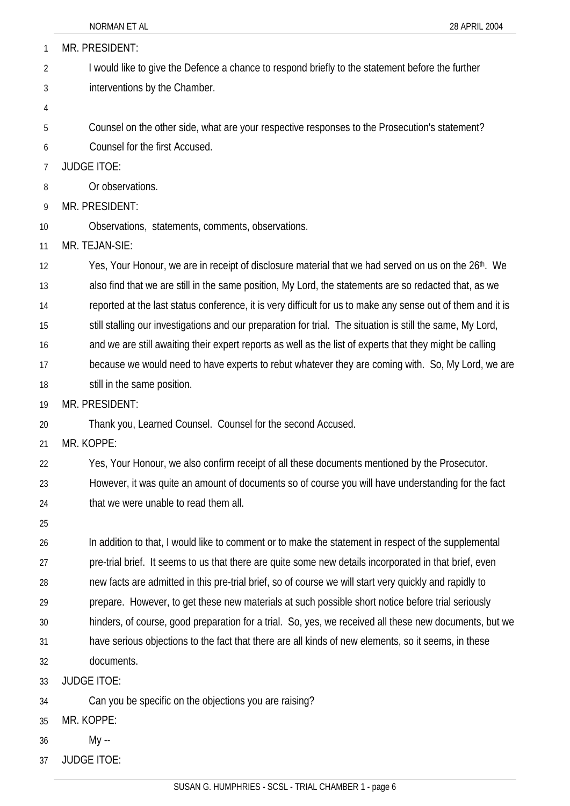| 1  | MR. PRESIDENT:                                                                                                   |
|----|------------------------------------------------------------------------------------------------------------------|
| 2  | I would like to give the Defence a chance to respond briefly to the statement before the further                 |
| 3  | interventions by the Chamber.                                                                                    |
| 4  |                                                                                                                  |
| 5  | Counsel on the other side, what are your respective responses to the Prosecution's statement?                    |
| 6  | Counsel for the first Accused.                                                                                   |
| 7  | <b>JUDGE ITOE:</b>                                                                                               |
| 8  | Or observations.                                                                                                 |
| 9  | MR. PRESIDENT:                                                                                                   |
| 10 | Observations, statements, comments, observations.                                                                |
| 11 | MR. TEJAN-SIE:                                                                                                   |
| 12 | Yes, Your Honour, we are in receipt of disclosure material that we had served on us on the 26 <sup>th</sup> . We |
| 13 | also find that we are still in the same position, My Lord, the statements are so redacted that, as we            |
| 14 | reported at the last status conference, it is very difficult for us to make any sense out of them and it is      |
| 15 | still stalling our investigations and our preparation for trial. The situation is still the same, My Lord,       |
| 16 | and we are still awaiting their expert reports as well as the list of experts that they might be calling         |
| 17 | because we would need to have experts to rebut whatever they are coming with. So, My Lord, we are                |
| 18 | still in the same position.                                                                                      |
| 19 | MR. PRESIDENT:                                                                                                   |
| 20 | Thank you, Learned Counsel. Counsel for the second Accused.                                                      |
| 21 | MR. KOPPE:                                                                                                       |
| 22 | Yes, Your Honour, we also confirm receipt of all these documents mentioned by the Prosecutor.                    |
| 23 | However, it was quite an amount of documents so of course you will have understanding for the fact               |
| 24 | that we were unable to read them all.                                                                            |
| 25 |                                                                                                                  |
| 26 | In addition to that, I would like to comment or to make the statement in respect of the supplemental             |
| 27 | pre-trial brief. It seems to us that there are quite some new details incorporated in that brief, even           |
| 28 | new facts are admitted in this pre-trial brief, so of course we will start very quickly and rapidly to           |
| 29 | prepare. However, to get these new materials at such possible short notice before trial seriously                |
| 30 | hinders, of course, good preparation for a trial. So, yes, we received all these new documents, but we           |
| 31 | have serious objections to the fact that there are all kinds of new elements, so it seems, in these              |
| 32 | documents.                                                                                                       |
| 33 | <b>JUDGE ITOE:</b>                                                                                               |
| 34 | Can you be specific on the objections you are raising?                                                           |
| 35 | MR. KOPPE:                                                                                                       |

- 36 My --
- 37 JUDGE ITOE: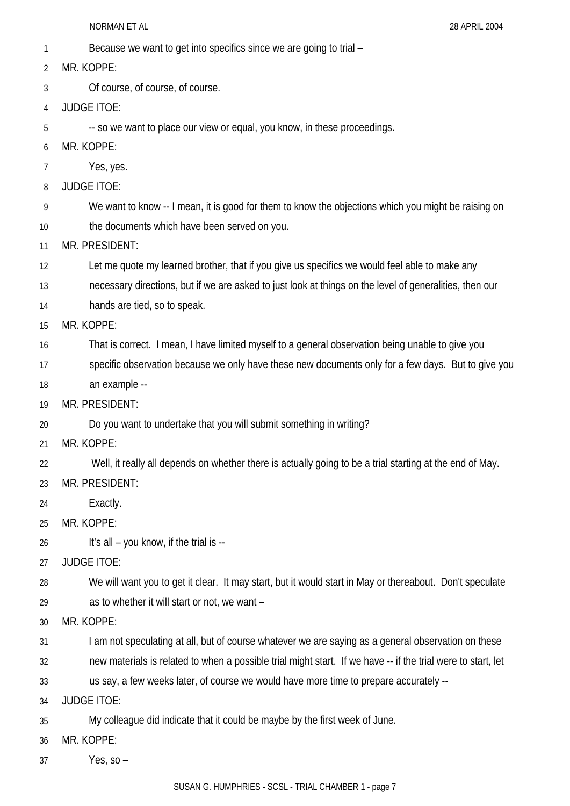- NORMAN ET AL 28 APRIL 2004 1 Because we want to get into specifics since we are going to trial – 2 3 4 5 6 7 8 9 10 11 12 13 14 15 16 17 18 19 20 21 22 23 24 25 26 27 28 29 30 31 32 33 34 35 36 MR. KOPPE: Of course, of course, of course. JUDGE ITOE: -- so we want to place our view or equal, you know, in these proceedings. MR. KOPPE: Yes, yes. JUDGE ITOE: We want to know -- I mean, it is good for them to know the objections which you might be raising on the documents which have been served on you. MR. PRESIDENT: Let me quote my learned brother, that if you give us specifics we would feel able to make any necessary directions, but if we are asked to just look at things on the level of generalities, then our hands are tied, so to speak. MR. KOPPE: That is correct. I mean, I have limited myself to a general observation being unable to give you specific observation because we only have these new documents only for a few days. But to give you an example -- MR. PRESIDENT: Do you want to undertake that you will submit something in writing? MR. KOPPE: Well, it really all depends on whether there is actually going to be a trial starting at the end of May. MR. PRESIDENT: Exactly. MR. KOPPE: It's all – you know, if the trial is -- JUDGE ITOE: We will want you to get it clear. It may start, but it would start in May or thereabout. Don't speculate as to whether it will start or not, we want – MR. KOPPE: I am not speculating at all, but of course whatever we are saying as a general observation on these new materials is related to when a possible trial might start. If we have -- if the trial were to start, let us say, a few weeks later, of course we would have more time to prepare accurately -- JUDGE ITOE: My colleague did indicate that it could be maybe by the first week of June. MR. KOPPE:
- 37 Yes, so –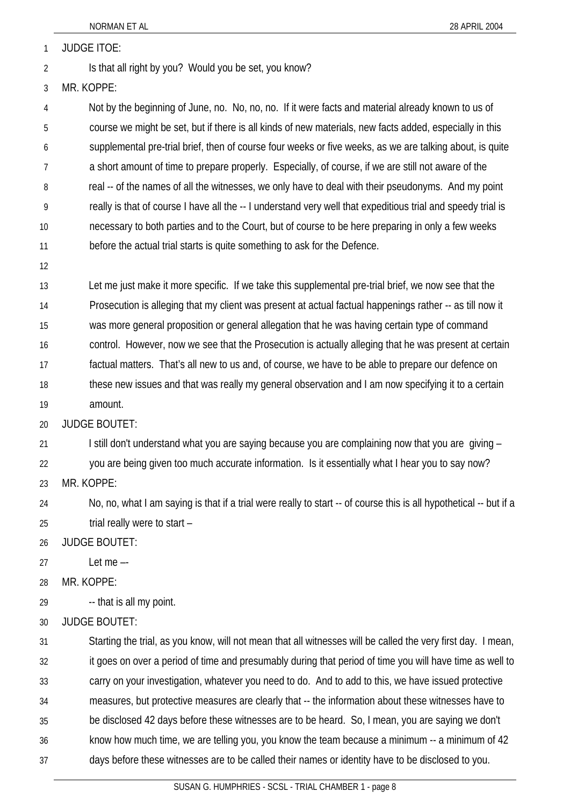1 JUDGE ITOE:

- 2 Is that all right by you? Would you be set, you know?
- 3 MR. KOPPE:

4 5 6 7 8 9 10 11 Not by the beginning of June, no. No, no, no. If it were facts and material already known to us of course we might be set, but if there is all kinds of new materials, new facts added, especially in this supplemental pre-trial brief, then of course four weeks or five weeks, as we are talking about, is quite a short amount of time to prepare properly. Especially, of course, if we are still not aware of the real -- of the names of all the witnesses, we only have to deal with their pseudonyms. And my point really is that of course I have all the -- I understand very well that expeditious trial and speedy trial is necessary to both parties and to the Court, but of course to be here preparing in only a few weeks before the actual trial starts is quite something to ask for the Defence.

12

13 14 15 16 17 18 Let me just make it more specific. If we take this supplemental pre-trial brief, we now see that the Prosecution is alleging that my client was present at actual factual happenings rather -- as till now it was more general proposition or general allegation that he was having certain type of command control. However, now we see that the Prosecution is actually alleging that he was present at certain factual matters. That's all new to us and, of course, we have to be able to prepare our defence on these new issues and that was really my general observation and I am now specifying it to a certain

19 amount.

20 JUDGE BOUTET:

21 I still don't understand what you are saying because you are complaining now that you are giving –

22 you are being given too much accurate information. Is it essentially what I hear you to say now?

23 MR. KOPPE:

24 25 No, no, what I am saying is that if a trial were really to start -- of course this is all hypothetical -- but if a trial really were to start –

26 JUDGE BOUTET:

27 Let me –-

28 MR. KOPPE:

29 -- that is all my point.

30 JUDGE BOUTET:

31 32 33 34 35 36 37 Starting the trial, as you know, will not mean that all witnesses will be called the very first day. I mean, it goes on over a period of time and presumably during that period of time you will have time as well to carry on your investigation, whatever you need to do. And to add to this, we have issued protective measures, but protective measures are clearly that -- the information about these witnesses have to be disclosed 42 days before these witnesses are to be heard. So, I mean, you are saying we don't know how much time, we are telling you, you know the team because a minimum -- a minimum of 42 days before these witnesses are to be called their names or identity have to be disclosed to you.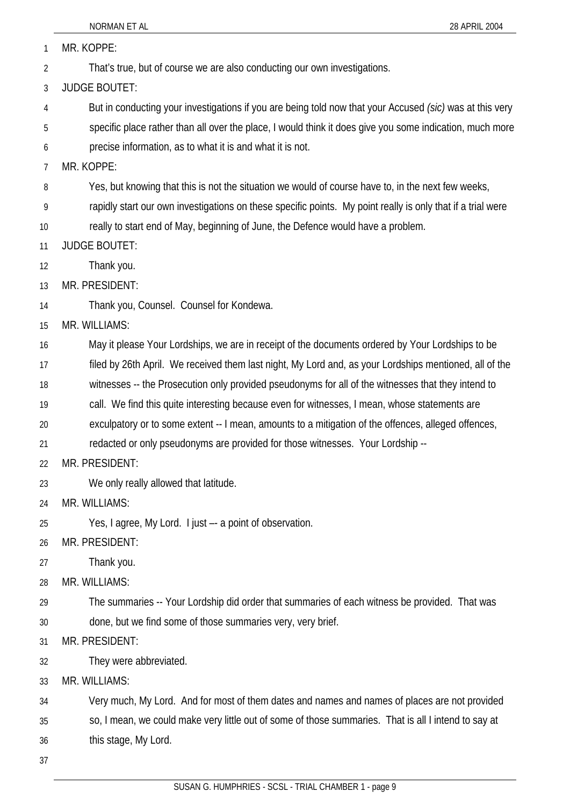|                | NORMAN ET AL<br>28 APRIL 2004                                                                               |
|----------------|-------------------------------------------------------------------------------------------------------------|
| 1              | MR. KOPPE:                                                                                                  |
| $\overline{2}$ | That's true, but of course we are also conducting our own investigations.                                   |
| 3              | <b>JUDGE BOUTET:</b>                                                                                        |
| 4              | But in conducting your investigations if you are being told now that your Accused (sic) was at this very    |
| 5              | specific place rather than all over the place, I would think it does give you some indication, much more    |
| 6              | precise information, as to what it is and what it is not.                                                   |
| 7              | MR. KOPPE:                                                                                                  |
| 8              | Yes, but knowing that this is not the situation we would of course have to, in the next few weeks,          |
| 9              | rapidly start our own investigations on these specific points. My point really is only that if a trial were |
| 10             | really to start end of May, beginning of June, the Defence would have a problem.                            |
| 11             | <b>JUDGE BOUTET:</b>                                                                                        |
| 12             | Thank you.                                                                                                  |
| 13             | MR. PRESIDENT:                                                                                              |
| 14             | Thank you, Counsel. Counsel for Kondewa.                                                                    |
| 15             | MR. WILLIAMS:                                                                                               |
| 16             | May it please Your Lordships, we are in receipt of the documents ordered by Your Lordships to be            |
| 17             | filed by 26th April. We received them last night, My Lord and, as your Lordships mentioned, all of the      |
| 18             | witnesses -- the Prosecution only provided pseudonyms for all of the witnesses that they intend to          |
| 19             | call. We find this quite interesting because even for witnesses, I mean, whose statements are               |
| 20             | exculpatory or to some extent -- I mean, amounts to a mitigation of the offences, alleged offences,         |
| 21             | redacted or only pseudonyms are provided for those witnesses. Your Lordship --                              |
| 22             | MR. PRESIDENT:                                                                                              |
| 23             | We only really allowed that latitude.                                                                       |
| 24             | MR. WILLIAMS:                                                                                               |
| 25             | Yes, I agree, My Lord. I just -- a point of observation.                                                    |
| 26             | MR. PRESIDENT:                                                                                              |
| 27             | Thank you.                                                                                                  |
| 28             | MR. WILLIAMS:                                                                                               |
| 29             | The summaries -- Your Lordship did order that summaries of each witness be provided. That was               |
| 30             | done, but we find some of those summaries very, very brief.                                                 |
| 31             | MR. PRESIDENT:                                                                                              |
| 32             | They were abbreviated.                                                                                      |
| 33             | MR. WILLIAMS:                                                                                               |
| 34             | Very much, My Lord. And for most of them dates and names and names of places are not provided               |
| 35             | so, I mean, we could make very little out of some of those summaries. That is all I intend to say at        |
| 36             | this stage, My Lord.                                                                                        |

37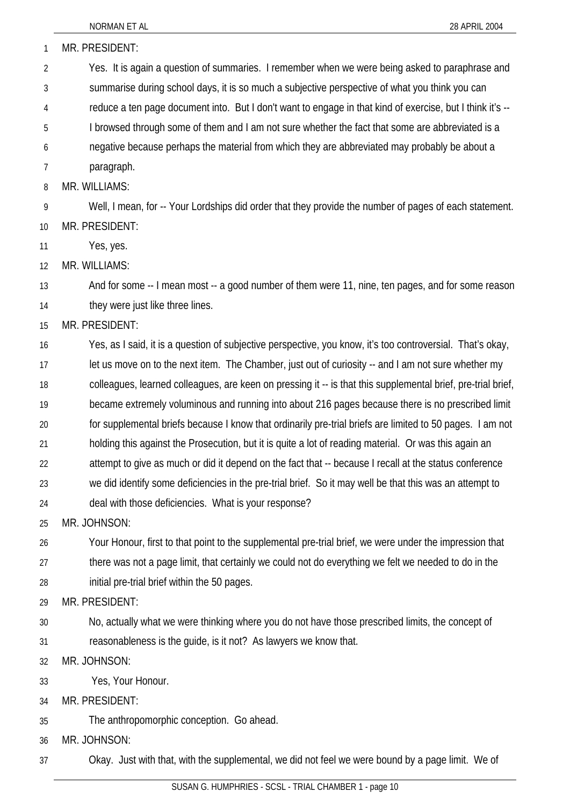| 1  | MR. PRESIDENT:                                                                                               |
|----|--------------------------------------------------------------------------------------------------------------|
| 2  | Yes. It is again a question of summaries. I remember when we were being asked to paraphrase and              |
| 3  | summarise during school days, it is so much a subjective perspective of what you think you can               |
| 4  | reduce a ten page document into. But I don't want to engage in that kind of exercise, but I think it's --    |
| 5  | I browsed through some of them and I am not sure whether the fact that some are abbreviated is a             |
| 6  | negative because perhaps the material from which they are abbreviated may probably be about a                |
| 7  | paragraph.                                                                                                   |
| 8  | MR. WILLIAMS:                                                                                                |
| 9  | Well, I mean, for -- Your Lordships did order that they provide the number of pages of each statement.       |
| 10 | MR. PRESIDENT:                                                                                               |
| 11 | Yes, yes.                                                                                                    |
| 12 | MR. WILLIAMS:                                                                                                |
| 13 | And for some -- I mean most -- a good number of them were 11, nine, ten pages, and for some reason           |
| 14 | they were just like three lines.                                                                             |
| 15 | MR. PRESIDENT:                                                                                               |
| 16 | Yes, as I said, it is a question of subjective perspective, you know, it's too controversial. That's okay,   |
| 17 | let us move on to the next item. The Chamber, just out of curiosity -- and I am not sure whether my          |
| 18 | colleagues, learned colleagues, are keen on pressing it -- is that this supplemental brief, pre-trial brief, |
| 19 | became extremely voluminous and running into about 216 pages because there is no prescribed limit            |
| 20 | for supplemental briefs because I know that ordinarily pre-trial briefs are limited to 50 pages. I am not    |
| 21 | holding this against the Prosecution, but it is quite a lot of reading material. Or was this again an        |
| 22 | attempt to give as much or did it depend on the fact that -- because I recall at the status conference       |
| 23 | we did identify some deficiencies in the pre-trial brief. So it may well be that this was an attempt to      |
| 24 | deal with those deficiencies. What is your response?                                                         |
| 25 | MR. JOHNSON:                                                                                                 |
| 26 | Your Honour, first to that point to the supplemental pre-trial brief, we were under the impression that      |
| 27 | there was not a page limit, that certainly we could not do everything we felt we needed to do in the         |
| 28 | initial pre-trial brief within the 50 pages.                                                                 |
| 29 | MR. PRESIDENT:                                                                                               |
| 30 | No, actually what we were thinking where you do not have those prescribed limits, the concept of             |
| 31 | reasonableness is the guide, is it not? As lawyers we know that.                                             |
| 32 | MR. JOHNSON:                                                                                                 |
| 33 | Yes, Your Honour.                                                                                            |
| 34 | MR. PRESIDENT:                                                                                               |
| 35 | The anthropomorphic conception. Go ahead.                                                                    |
| 36 | MR. JOHNSON:                                                                                                 |
| 37 | Okay. Just with that, with the supplemental, we did not feel we were bound by a page limit. We of            |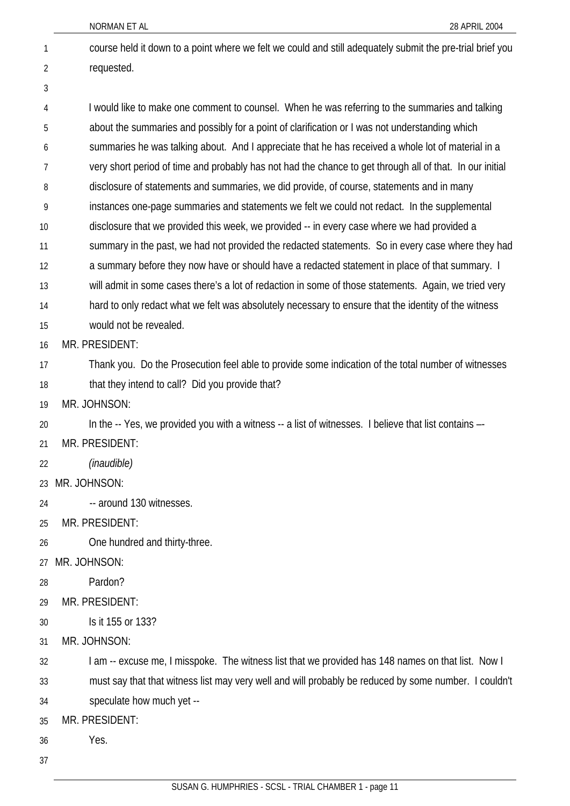- NORMAN ET AL 28 APRIL 2004 course held it down to a point where we felt we could and still adequately submit the pre-trial brief you requested. 1 2 3 4 5 6 7 8 9 10 11 12 13 14 15 16 17 18 19 20 21 22 23 24 25 26 27 28 29 30 31 32 33 I would like to make one comment to counsel. When he was referring to the summaries and talking about the summaries and possibly for a point of clarification or I was not understanding which summaries he was talking about. And I appreciate that he has received a whole lot of material in a very short period of time and probably has not had the chance to get through all of that. In our initial disclosure of statements and summaries, we did provide, of course, statements and in many instances one-page summaries and statements we felt we could not redact. In the supplemental disclosure that we provided this week, we provided -- in every case where we had provided a summary in the past, we had not provided the redacted statements. So in every case where they had a summary before they now have or should have a redacted statement in place of that summary. I will admit in some cases there's a lot of redaction in some of those statements. Again, we tried very hard to only redact what we felt was absolutely necessary to ensure that the identity of the witness would not be revealed. MR. PRESIDENT: Thank you. Do the Prosecution feel able to provide some indication of the total number of witnesses that they intend to call? Did you provide that? MR. JOHNSON: In the -- Yes, we provided you with a witness -- a list of witnesses. I believe that list contains --MR. PRESIDENT: *(inaudible)* MR. JOHNSON: -- around 130 witnesses. MR. PRESIDENT: One hundred and thirty-three. MR. JOHNSON: Pardon? MR. PRESIDENT: Is it 155 or 133? MR. JOHNSON: I am -- excuse me, I misspoke. The witness list that we provided has 148 names on that list. Now I must say that that witness list may very well and will probably be reduced by some number. I couldn't
- 34 speculate how much yet --
- 35 MR. PRESIDENT:
- 36 Yes.
- 37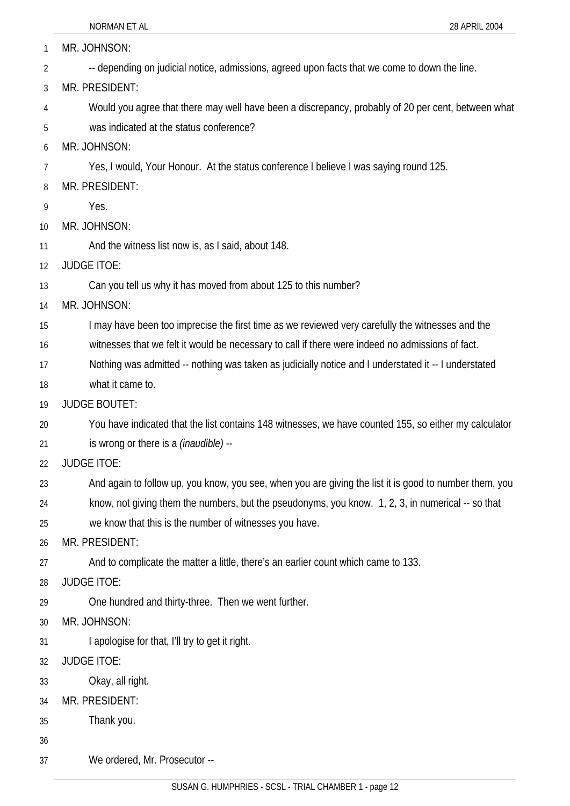|          | NORMAN ET AL<br>28 APRIL 2004                                                                          |
|----------|--------------------------------------------------------------------------------------------------------|
| 1        | MR. JOHNSON:                                                                                           |
| 2        | -- depending on judicial notice, admissions, agreed upon facts that we come to down the line.          |
| 3        | MR. PRESIDENT:                                                                                         |
| 4        | Would you agree that there may well have been a discrepancy, probably of 20 per cent, between what     |
| 5        | was indicated at the status conference?                                                                |
| 6        | MR. JOHNSON:                                                                                           |
| 7        | Yes, I would, Your Honour. At the status conference I believe I was saying round 125.                  |
| 8        | MR. PRESIDENT:                                                                                         |
| 9        | Yes.                                                                                                   |
| 10       | MR. JOHNSON:                                                                                           |
| 11       | And the witness list now is, as I said, about 148.                                                     |
| 12       | <b>JUDGE ITOE:</b>                                                                                     |
| 13       | Can you tell us why it has moved from about 125 to this number?                                        |
| 14       | MR. JOHNSON:                                                                                           |
| 15       | I may have been too imprecise the first time as we reviewed very carefully the witnesses and the       |
| 16       | witnesses that we felt it would be necessary to call if there were indeed no admissions of fact.       |
| 17       | Nothing was admitted -- nothing was taken as judicially notice and I understated it -- I understated   |
| 18       | what it came to.                                                                                       |
| 19       | <b>JUDGE BOUTET:</b>                                                                                   |
| 20       | You have indicated that the list contains 148 witnesses, we have counted 155, so either my calculator  |
| 21       | is wrong or there is a <i>(inaudible)</i> --                                                           |
| 22       | <b>JUDGE ITOE:</b>                                                                                     |
| 23       | And again to follow up, you know, you see, when you are giving the list it is good to number them, you |
| 24       | know, not giving them the numbers, but the pseudonyms, you know. 1, 2, 3, in numerical -- so that      |
| 25       | we know that this is the number of witnesses you have.                                                 |
| 26       | MR. PRESIDENT:                                                                                         |
| 27       | And to complicate the matter a little, there's an earlier count which came to 133.                     |
| 28       | <b>JUDGE ITOE:</b>                                                                                     |
| 29       | One hundred and thirty-three. Then we went further.                                                    |
| 30       | MR. JOHNSON:                                                                                           |
| 31       | I apologise for that, I'll try to get it right.<br><b>JUDGE ITOE:</b>                                  |
| 32<br>33 | Okay, all right.                                                                                       |
|          | MR. PRESIDENT:                                                                                         |
| 34<br>35 | Thank you.                                                                                             |
| 36       |                                                                                                        |
| 37       | We ordered, Mr. Prosecutor --                                                                          |
|          |                                                                                                        |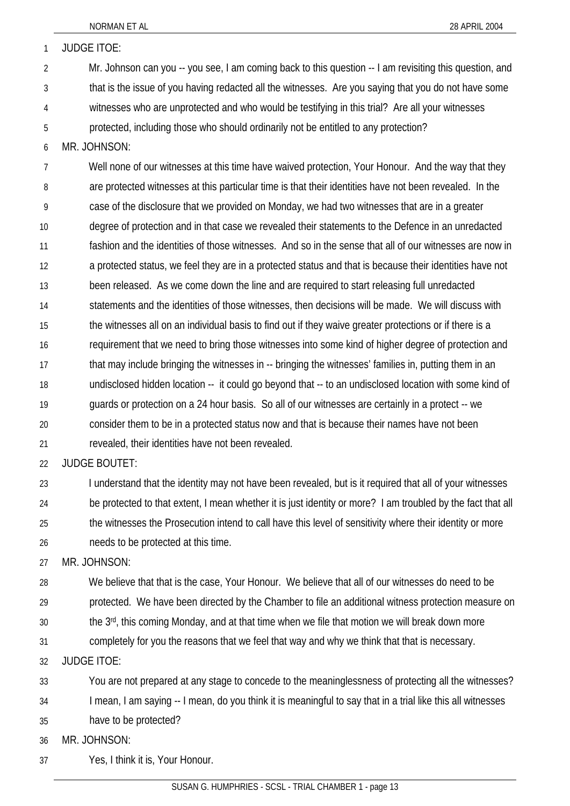| $\mathbf{1}$   | <b>JUDGE ITOE:</b>                                                                                       |
|----------------|----------------------------------------------------------------------------------------------------------|
| $\overline{2}$ | Mr. Johnson can you -- you see, I am coming back to this question -- I am revisiting this question, and  |
| 3              | that is the issue of you having redacted all the witnesses. Are you saying that you do not have some     |
| 4              | witnesses who are unprotected and who would be testifying in this trial? Are all your witnesses          |
| 5              | protected, including those who should ordinarily not be entitled to any protection?                      |
| 6              | MR. JOHNSON:                                                                                             |
| $\overline{7}$ | Well none of our witnesses at this time have waived protection, Your Honour. And the way that they       |
| 8              | are protected witnesses at this particular time is that their identities have not been revealed. In the  |
| 9              | case of the disclosure that we provided on Monday, we had two witnesses that are in a greater            |
| 10             | degree of protection and in that case we revealed their statements to the Defence in an unredacted       |
| 11             | fashion and the identities of those witnesses. And so in the sense that all of our witnesses are now in  |
| 12             | a protected status, we feel they are in a protected status and that is because their identities have not |
| 13             | been released. As we come down the line and are required to start releasing full unredacted              |
| 14             | statements and the identities of those witnesses, then decisions will be made. We will discuss with      |
| 15             | the witnesses all on an individual basis to find out if they waive greater protections or if there is a  |
| 16             | requirement that we need to bring those witnesses into some kind of higher degree of protection and      |
| 17             | that may include bringing the witnesses in -- bringing the witnesses' families in, putting them in an    |
| 18             | undisclosed hidden location -- it could go beyond that -- to an undisclosed location with some kind of   |
| 19             | guards or protection on a 24 hour basis. So all of our witnesses are certainly in a protect -- we        |
| 20             | consider them to be in a protected status now and that is because their names have not been              |
| 21             | revealed, their identities have not been revealed.                                                       |

22 JUDGE BOUTET:

23 24 25 26 I understand that the identity may not have been revealed, but is it required that all of your witnesses be protected to that extent, I mean whether it is just identity or more? I am troubled by the fact that all the witnesses the Prosecution intend to call have this level of sensitivity where their identity or more needs to be protected at this time.

27 MR. JOHNSON:

28 We believe that that is the case, Your Honour. We believe that all of our witnesses do need to be

29 protected. We have been directed by the Chamber to file an additional witness protection measure on

- 30 the 3rd, this coming Monday, and at that time when we file that motion we will break down more
- 31 completely for you the reasons that we feel that way and why we think that that is necessary.

32 JUDGE ITOE:

33 You are not prepared at any stage to concede to the meaninglessness of protecting all the witnesses?

34 I mean, I am saying -- I mean, do you think it is meaningful to say that in a trial like this all witnesses

35 have to be protected?

36 MR. JOHNSON:

37 Yes, I think it is, Your Honour.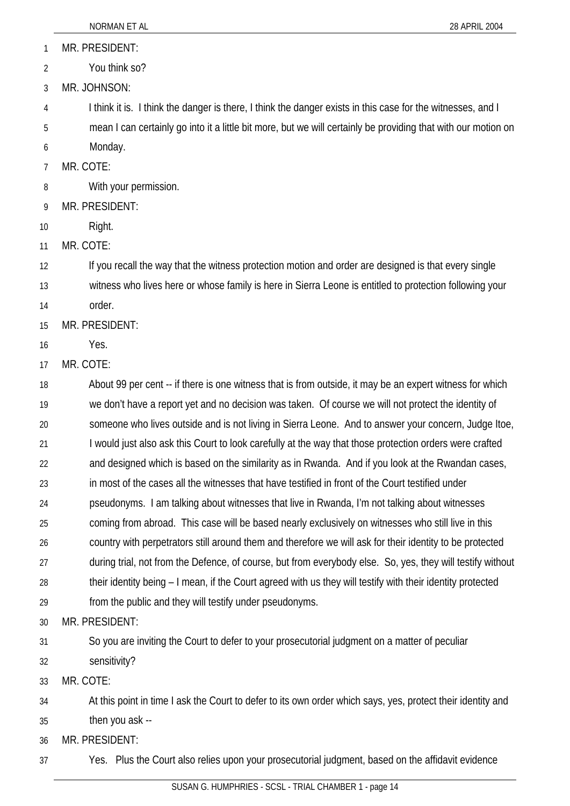1 MR. PRESIDENT:

2 You think so?

3 MR. JOHNSON:

4 I think it is. I think the danger is there, I think the danger exists in this case for the witnesses, and I

5 mean I can certainly go into it a little bit more, but we will certainly be providing that with our motion on

6 Monday.

7 MR. COTE:

8 With your permission.

9 MR. PRESIDENT:

10 Right.

11 MR. COTE:

12 If you recall the way that the witness protection motion and order are designed is that every single

13 witness who lives here or whose family is here in Sierra Leone is entitled to protection following your

14 order.

15 MR. PRESIDENT:

16 Yes.

17 MR. COTE:

18 19 20 21 22 23 24 25 26 27 28 29 30 31 About 99 per cent -- if there is one witness that is from outside, it may be an expert witness for which we don't have a report yet and no decision was taken. Of course we will not protect the identity of someone who lives outside and is not living in Sierra Leone. And to answer your concern, Judge Itoe, I would just also ask this Court to look carefully at the way that those protection orders were crafted and designed which is based on the similarity as in Rwanda. And if you look at the Rwandan cases, in most of the cases all the witnesses that have testified in front of the Court testified under pseudonyms. I am talking about witnesses that live in Rwanda, I'm not talking about witnesses coming from abroad. This case will be based nearly exclusively on witnesses who still live in this country with perpetrators still around them and therefore we will ask for their identity to be protected during trial, not from the Defence, of course, but from everybody else. So, yes, they will testify without their identity being – I mean, if the Court agreed with us they will testify with their identity protected from the public and they will testify under pseudonyms. MR. PRESIDENT: So you are inviting the Court to defer to your prosecutorial judgment on a matter of peculiar

32 sensitivity?

33 MR. COTE:

34 At this point in time I ask the Court to defer to its own order which says, yes, protect their identity and

35 then you ask --

36 MR. PRESIDENT:

37 Yes. Plus the Court also relies upon your prosecutorial judgment, based on the affidavit evidence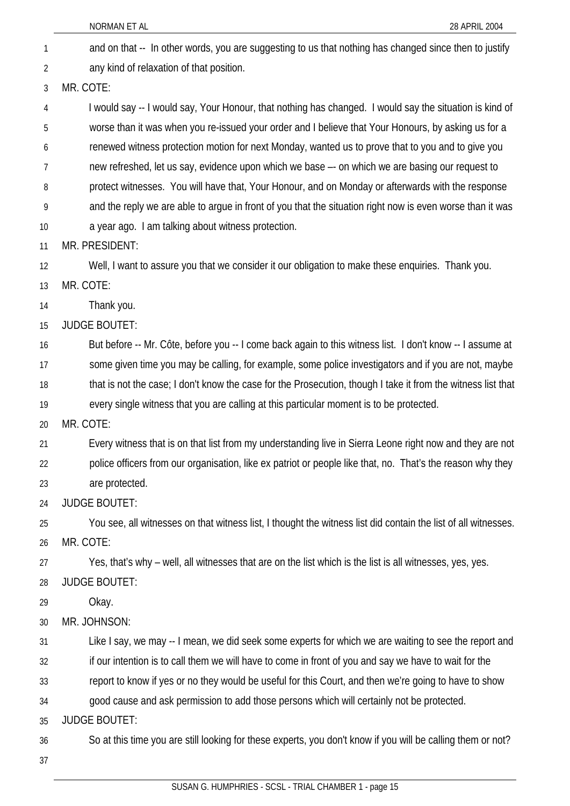and on that -- In other words, you are suggesting to us that nothing has changed since then to justify any kind of relaxation of that position. 1 2 3 4 5 6 7 8 9 10 11 12 13 14 15 16 17 18 19 20 21 22 23 24 25 26 27 28 29 30 31 32 33 34 35 36 37 MR. COTE: I would say -- I would say, Your Honour, that nothing has changed. I would say the situation is kind of worse than it was when you re-issued your order and I believe that Your Honours, by asking us for a renewed witness protection motion for next Monday, wanted us to prove that to you and to give you new refreshed, let us say, evidence upon which we base –- on which we are basing our request to protect witnesses. You will have that, Your Honour, and on Monday or afterwards with the response and the reply we are able to argue in front of you that the situation right now is even worse than it was a year ago. I am talking about witness protection. MR. PRESIDENT: Well, I want to assure you that we consider it our obligation to make these enquiries. Thank you. MR. COTE: Thank you. JUDGE BOUTET: But before -- Mr. Côte, before you -- I come back again to this witness list. I don't know -- I assume at some given time you may be calling, for example, some police investigators and if you are not, maybe that is not the case; I don't know the case for the Prosecution, though I take it from the witness list that every single witness that you are calling at this particular moment is to be protected. MR. COTE: Every witness that is on that list from my understanding live in Sierra Leone right now and they are not police officers from our organisation, like ex patriot or people like that, no. That's the reason why they are protected. JUDGE BOUTET: You see, all witnesses on that witness list, I thought the witness list did contain the list of all witnesses. MR. COTE: Yes, that's why – well, all witnesses that are on the list which is the list is all witnesses, yes, yes. JUDGE BOUTET: Okay. MR. JOHNSON: Like I say, we may -- I mean, we did seek some experts for which we are waiting to see the report and if our intention is to call them we will have to come in front of you and say we have to wait for the report to know if yes or no they would be useful for this Court, and then we're going to have to show good cause and ask permission to add those persons which will certainly not be protected. JUDGE BOUTET: So at this time you are still looking for these experts, you don't know if you will be calling them or not?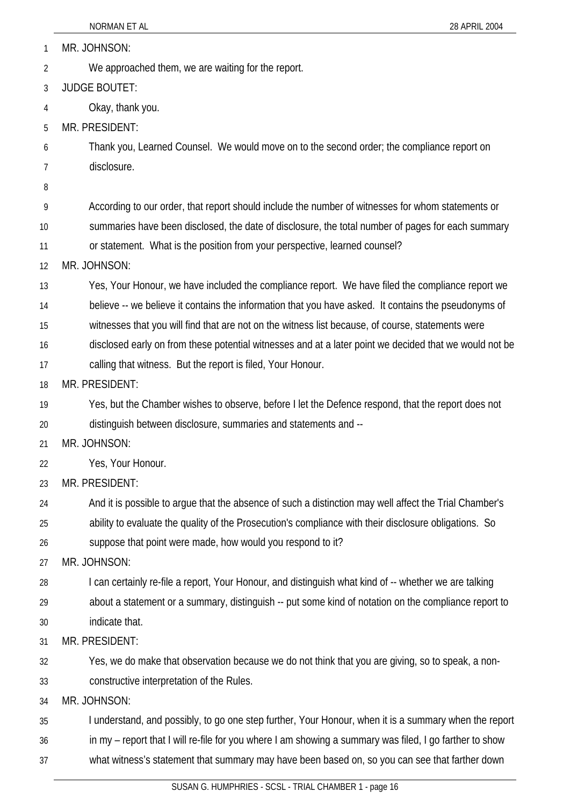| 1  | MR. JOHNSON:                                                                                            |
|----|---------------------------------------------------------------------------------------------------------|
| 2  | We approached them, we are waiting for the report.                                                      |
| 3  | <b>JUDGE BOUTET:</b>                                                                                    |
| 4  | Okay, thank you.                                                                                        |
| 5  | MR. PRESIDENT:                                                                                          |
| 6  | Thank you, Learned Counsel. We would move on to the second order; the compliance report on              |
| 7  | disclosure.                                                                                             |
| 8  |                                                                                                         |
| 9  | According to our order, that report should include the number of witnesses for whom statements or       |
| 10 | summaries have been disclosed, the date of disclosure, the total number of pages for each summary       |
| 11 | or statement. What is the position from your perspective, learned counsel?                              |
| 12 | MR. JOHNSON:                                                                                            |
| 13 | Yes, Your Honour, we have included the compliance report. We have filed the compliance report we        |
| 14 | believe -- we believe it contains the information that you have asked. It contains the pseudonyms of    |
| 15 | witnesses that you will find that are not on the witness list because, of course, statements were       |
| 16 | disclosed early on from these potential witnesses and at a later point we decided that we would not be  |
| 17 | calling that witness. But the report is filed, Your Honour.                                             |
| 18 | MR. PRESIDENT:                                                                                          |
| 19 | Yes, but the Chamber wishes to observe, before I let the Defence respond, that the report does not      |
| 20 | distinguish between disclosure, summaries and statements and --                                         |
| 21 | MR. JOHNSON:                                                                                            |
| 22 | Yes, Your Honour.                                                                                       |
| 23 | MR. PRESIDENT:                                                                                          |
| 24 | And it is possible to argue that the absence of such a distinction may well affect the Trial Chamber's  |
| 25 | ability to evaluate the quality of the Prosecution's compliance with their disclosure obligations. So   |
| 26 | suppose that point were made, how would you respond to it?                                              |
| 27 | MR. JOHNSON:                                                                                            |
| 28 | I can certainly re-file a report, Your Honour, and distinguish what kind of -- whether we are talking   |
| 29 | about a statement or a summary, distinguish -- put some kind of notation on the compliance report to    |
| 30 | indicate that.                                                                                          |
| 31 | MR. PRESIDENT:                                                                                          |
| 32 | Yes, we do make that observation because we do not think that you are giving, so to speak, a non-       |
| 33 | constructive interpretation of the Rules.                                                               |
| 34 | MR. JOHNSON:                                                                                            |
| 35 | I understand, and possibly, to go one step further, Your Honour, when it is a summary when the report   |
| 36 | in my - report that I will re-file for you where I am showing a summary was filed, I go farther to show |
| 37 | what witness's statement that summary may have been based on, so you can see that farther down          |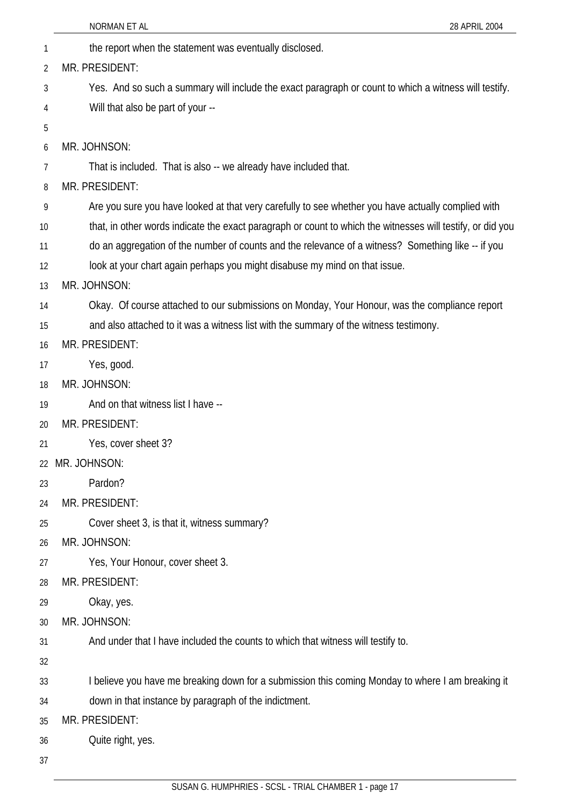|    | NORMAN ET AL<br>28 APRIL 2004                                                                              |
|----|------------------------------------------------------------------------------------------------------------|
| 1  | the report when the statement was eventually disclosed.                                                    |
| 2  | MR. PRESIDENT:                                                                                             |
| 3  | Yes. And so such a summary will include the exact paragraph or count to which a witness will testify.      |
| 4  | Will that also be part of your --                                                                          |
| 5  |                                                                                                            |
| 6  | MR. JOHNSON:                                                                                               |
| 7  | That is included. That is also -- we already have included that.                                           |
| 8  | MR. PRESIDENT:                                                                                             |
| 9  | Are you sure you have looked at that very carefully to see whether you have actually complied with         |
| 10 | that, in other words indicate the exact paragraph or count to which the witnesses will testify, or did you |
| 11 | do an aggregation of the number of counts and the relevance of a witness? Something like -- if you         |
| 12 | look at your chart again perhaps you might disabuse my mind on that issue.                                 |
| 13 | MR. JOHNSON:                                                                                               |
| 14 | Okay. Of course attached to our submissions on Monday, Your Honour, was the compliance report              |
| 15 | and also attached to it was a witness list with the summary of the witness testimony.                      |
| 16 | MR. PRESIDENT:                                                                                             |
| 17 | Yes, good.                                                                                                 |
| 18 | MR. JOHNSON:                                                                                               |
| 19 | And on that witness list I have --                                                                         |
| 20 | MR. PRESIDENT:                                                                                             |
| 21 | Yes, cover sheet 3?                                                                                        |
| 22 | MR. JOHNSON:                                                                                               |
| 23 | Pardon?                                                                                                    |
| 24 | MR. PRESIDENT:                                                                                             |
| 25 | Cover sheet 3, is that it, witness summary?                                                                |
| 26 | MR. JOHNSON:                                                                                               |
| 27 | Yes, Your Honour, cover sheet 3.                                                                           |
| 28 | MR. PRESIDENT:                                                                                             |
| 29 | Okay, yes.                                                                                                 |
| 30 | MR. JOHNSON:                                                                                               |
| 31 | And under that I have included the counts to which that witness will testify to.                           |
| 32 |                                                                                                            |
| 33 | I believe you have me breaking down for a submission this coming Monday to where I am breaking it          |
| 34 | down in that instance by paragraph of the indictment.                                                      |
| 35 | MR. PRESIDENT:                                                                                             |
| 36 | Quite right, yes.                                                                                          |
| 37 |                                                                                                            |
|    |                                                                                                            |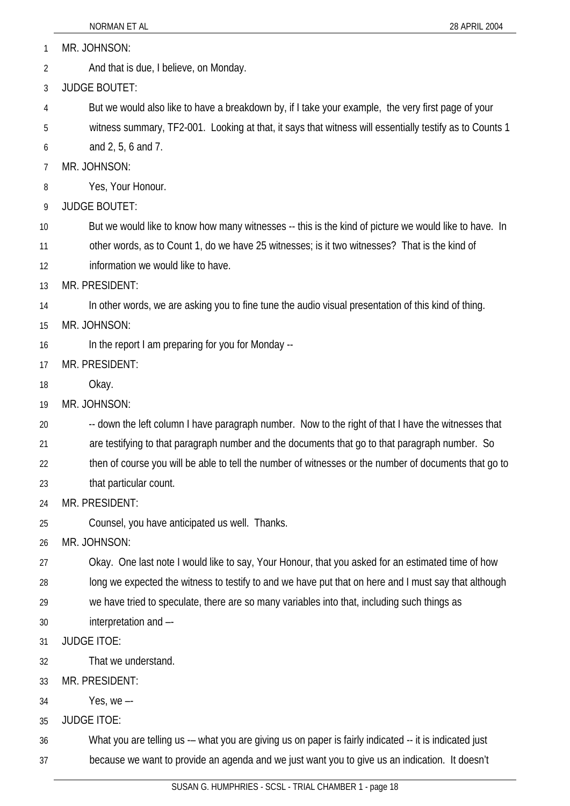1 MR. JOHNSON:

2 And that is due, I believe, on Monday.

3 JUDGE BOUTET:

4 But we would also like to have a breakdown by, if I take your example, the very first page of your

5 witness summary, TF2-001. Looking at that, it says that witness will essentially testify as to Counts 1

6 and 2, 5, 6 and 7.

7 MR. JOHNSON:

8 Yes, Your Honour.

9 JUDGE BOUTET:

10 But we would like to know how many witnesses -- this is the kind of picture we would like to have. In

11 other words, as to Count 1, do we have 25 witnesses; is it two witnesses? That is the kind of

12 information we would like to have.

13 MR. PRESIDENT:

14 In other words, we are asking you to fine tune the audio visual presentation of this kind of thing.

15 MR. JOHNSON:

16 In the report I am preparing for you for Monday --

17 MR. PRESIDENT:

18 Okay.

19 MR. JOHNSON:

20 -- down the left column I have paragraph number. Now to the right of that I have the witnesses that

21 are testifying to that paragraph number and the documents that go to that paragraph number. So

22 then of course you will be able to tell the number of witnesses or the number of documents that go to

23 that particular count.

24 MR. PRESIDENT:

25 Counsel, you have anticipated us well. Thanks.

26 MR. JOHNSON:

27 Okay. One last note I would like to say, Your Honour, that you asked for an estimated time of how

28 long we expected the witness to testify to and we have put that on here and I must say that although

29 we have tried to speculate, there are so many variables into that, including such things as

30 interpretation and –-

31 JUDGE ITOE:

32 That we understand.

33 MR. PRESIDENT:

34 Yes, we –-

35 JUDGE ITOE:

36 What you are telling us -- what you are giving us on paper is fairly indicated -- it is indicated just

37 because we want to provide an agenda and we just want you to give us an indication. It doesn't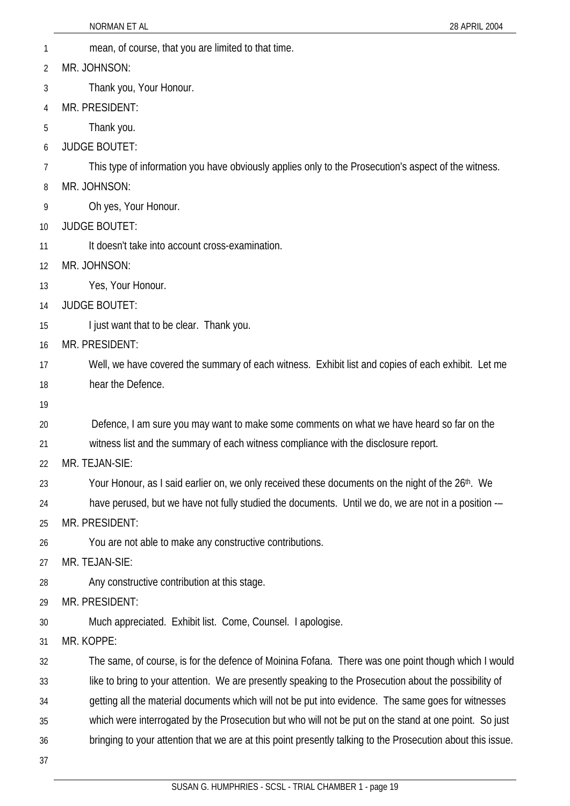- 1 mean, of course, that you are limited to that time.
- 2 MR. JOHNSON:
- 3 Thank you, Your Honour.
- 4 MR. PRESIDENT:
- 5 Thank you.
- 6 JUDGE BOUTET:
- 7 This type of information you have obviously applies only to the Prosecution's aspect of the witness.
- 8 MR. JOHNSON:
- 9 Oh yes, Your Honour.
- 10 JUDGE BOUTET:
- 11 It doesn't take into account cross-examination.
- 12 MR. JOHNSON:
- 13 Yes, Your Honour.
- 14 JUDGE BOUTET:
- 15 I just want that to be clear. Thank you.
- 16 MR. PRESIDENT:
- 17 18 Well, we have covered the summary of each witness. Exhibit list and copies of each exhibit. Let me hear the Defence.
- 19
- 20 Defence, I am sure you may want to make some comments on what we have heard so far on the
- 21 witness list and the summary of each witness compliance with the disclosure report.
- 22 MR. TEJAN-SIE:
- 23 Your Honour, as I said earlier on, we only received these documents on the night of the 26<sup>th</sup>. We
- 24 have perused, but we have not fully studied the documents. Until we do, we are not in a position --
- 25 MR. PRESIDENT:
- 26 You are not able to make any constructive contributions.
- 27 MR. TEJAN-SIE:
- 28 Any constructive contribution at this stage.
- 29 MR. PRESIDENT:
- 30 Much appreciated. Exhibit list. Come, Counsel. I apologise.
- 31 MR. KOPPE:
- 32 The same, of course, is for the defence of Moinina Fofana. There was one point though which I would
- 33 like to bring to your attention. We are presently speaking to the Prosecution about the possibility of
- 34 getting all the material documents which will not be put into evidence. The same goes for witnesses
- 35 which were interrogated by the Prosecution but who will not be put on the stand at one point. So just
- 36 bringing to your attention that we are at this point presently talking to the Prosecution about this issue.
- 37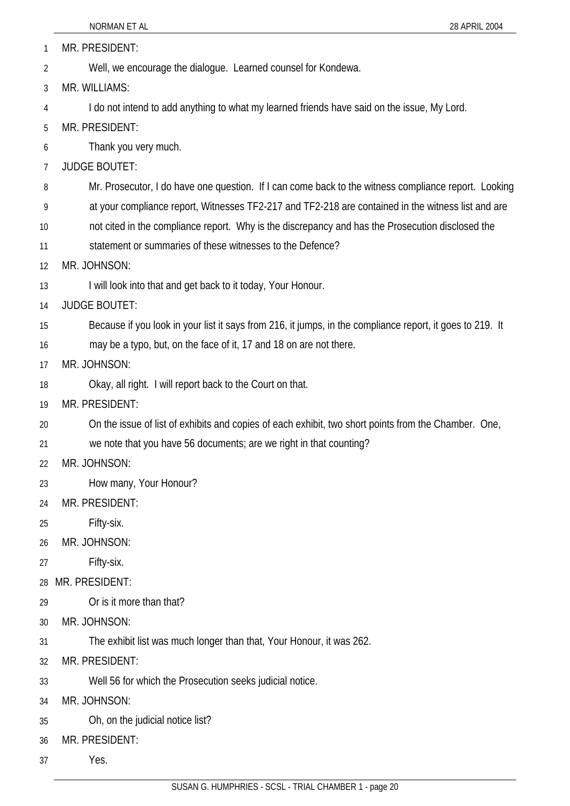|    | NORMAN ET AL<br>28 APRIL 2004                                                                             |
|----|-----------------------------------------------------------------------------------------------------------|
| 1  | MR. PRESIDENT:                                                                                            |
| 2  | Well, we encourage the dialogue. Learned counsel for Kondewa.                                             |
| 3  | MR. WILLIAMS:                                                                                             |
| 4  | I do not intend to add anything to what my learned friends have said on the issue, My Lord.               |
| 5  | MR. PRESIDENT:                                                                                            |
| 6  | Thank you very much.                                                                                      |
| 7  | <b>JUDGE BOUTET:</b>                                                                                      |
| 8  | Mr. Prosecutor, I do have one question. If I can come back to the witness compliance report. Looking      |
| 9  | at your compliance report, Witnesses TF2-217 and TF2-218 are contained in the witness list and are        |
| 10 | not cited in the compliance report. Why is the discrepancy and has the Prosecution disclosed the          |
| 11 | statement or summaries of these witnesses to the Defence?                                                 |
| 12 | MR. JOHNSON:                                                                                              |
| 13 | I will look into that and get back to it today, Your Honour.                                              |
| 14 | <b>JUDGE BOUTET:</b>                                                                                      |
| 15 | Because if you look in your list it says from 216, it jumps, in the compliance report, it goes to 219. It |
| 16 | may be a typo, but, on the face of it, 17 and 18 on are not there.                                        |
| 17 | MR. JOHNSON:                                                                                              |
| 18 | Okay, all right. I will report back to the Court on that.                                                 |
| 19 | MR. PRESIDENT:                                                                                            |
| 20 | On the issue of list of exhibits and copies of each exhibit, two short points from the Chamber. One,      |
| 21 | we note that you have 56 documents; are we right in that counting?                                        |
| 22 | MR. JOHNSON:                                                                                              |
| 23 | How many, Your Honour?                                                                                    |
| 24 | MR. PRESIDENT:                                                                                            |
| 25 | Fifty-six.                                                                                                |
| 26 | MR. JOHNSON:                                                                                              |
| 27 | Fifty-six.                                                                                                |
| 28 | MR. PRESIDENT:                                                                                            |
| 29 | Or is it more than that?                                                                                  |
| 30 | MR. JOHNSON:                                                                                              |
| 31 | The exhibit list was much longer than that, Your Honour, it was 262.                                      |
| 32 | MR. PRESIDENT:                                                                                            |
| 33 | Well 56 for which the Prosecution seeks judicial notice.                                                  |
| 34 | MR. JOHNSON:                                                                                              |
| 35 | Oh, on the judicial notice list?                                                                          |
| 36 | MR. PRESIDENT:                                                                                            |
| 37 | Yes.                                                                                                      |
|    |                                                                                                           |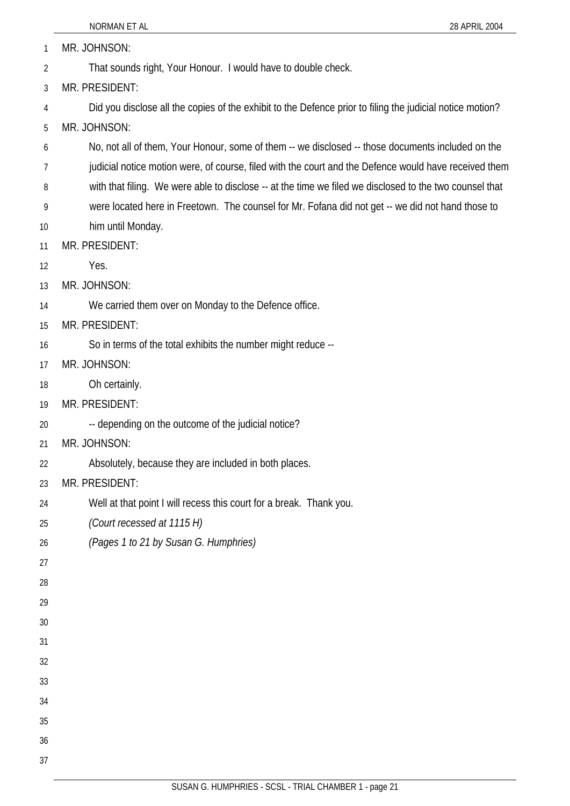would have received them

|    | NORMAN ET AL<br>28 APRIL 2004                                                                             |
|----|-----------------------------------------------------------------------------------------------------------|
| 1  | MR. JOHNSON:                                                                                              |
| 2  | That sounds right, Your Honour. I would have to double check.                                             |
| 3  | MR. PRESIDENT:                                                                                            |
| 4  | Did you disclose all the copies of the exhibit to the Defence prior to filing the judicial notice motion? |
| 5  | MR. JOHNSON:                                                                                              |
| 6  | No, not all of them, Your Honour, some of them -- we disclosed -- those documents included on the         |
| 7  | judicial notice motion were, of course, filed with the court and the Defence would have received ther     |
| 8  | with that filing. We were able to disclose -- at the time we filed we disclosed to the two counsel that   |
| 9  | were located here in Freetown. The counsel for Mr. Fofana did not get -- we did not hand those to         |
| 10 | him until Monday.                                                                                         |
| 11 | MR. PRESIDENT:                                                                                            |
| 12 | Yes.                                                                                                      |
| 13 | MR. JOHNSON:                                                                                              |
| 14 | We carried them over on Monday to the Defence office.                                                     |
| 15 | MR. PRESIDENT:                                                                                            |
| 16 | So in terms of the total exhibits the number might reduce --                                              |
| 17 | MR. JOHNSON:                                                                                              |
| 18 | Oh certainly.                                                                                             |
| 19 | MR. PRESIDENT:                                                                                            |
| 20 | -- depending on the outcome of the judicial notice?                                                       |
| 21 | MR. JOHNSON:                                                                                              |
| 22 | Absolutely, because they are included in both places.                                                     |
| 23 | MR. PRESIDENT:                                                                                            |
| 24 | Well at that point I will recess this court for a break. Thank you.                                       |
| 25 | (Court recessed at 1115 H)                                                                                |
| 26 | (Pages 1 to 21 by Susan G. Humphries)                                                                     |
| 27 |                                                                                                           |
| 28 |                                                                                                           |
| 29 |                                                                                                           |
| 30 |                                                                                                           |
| 31 |                                                                                                           |
| 32 |                                                                                                           |
| 33 |                                                                                                           |
| 34 |                                                                                                           |
| 35 |                                                                                                           |
| 36 |                                                                                                           |

37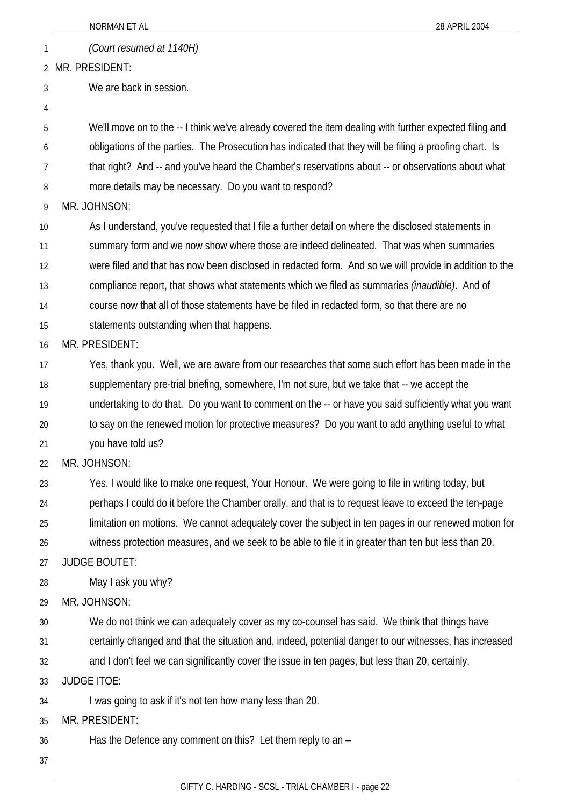|    | NORMAN ET AL<br>28 APRIL 2004                                                                           |
|----|---------------------------------------------------------------------------------------------------------|
| 1  | (Court resumed at 1140H)                                                                                |
|    | 2 MR. PRESIDENT:                                                                                        |
| 3  | We are back in session.                                                                                 |
| 4  |                                                                                                         |
| 5  | We'll move on to the -- I think we've already covered the item dealing with further expected filing and |
| 6  | obligations of the parties. The Prosecution has indicated that they will be filing a proofing chart. Is |
| 7  | that right? And -- and you've heard the Chamber's reservations about -- or observations about what      |
| 8  | more details may be necessary. Do you want to respond?                                                  |
| 9  | MR. JOHNSON:                                                                                            |
| 10 | As I understand, you've requested that I file a further detail on where the disclosed statements in     |
| 11 | summary form and we now show where those are indeed delineated. That was when summaries                 |
| 12 | were filed and that has now been disclosed in redacted form. And so we will provide in addition to the  |
| 13 | compliance report, that shows what statements which we filed as summaries <i>(inaudible)</i> . And of   |
| 14 | course now that all of those statements have be filed in redacted form, so that there are no            |
| 15 | statements outstanding when that happens.                                                               |
| 16 | MR. PRESIDENT:                                                                                          |
| 17 | Yes, thank you. Well, we are aware from our researches that some such effort has been made in the       |
| 18 | supplementary pre-trial briefing, somewhere, I'm not sure, but we take that -- we accept the            |
| 19 | undertaking to do that. Do you want to comment on the -- or have you said sufficiently what you want    |
| 20 | to say on the renewed motion for protective measures? Do you want to add anything useful to what        |
| 21 | you have told us?                                                                                       |
| 22 | MR. JOHNSON:                                                                                            |
| 23 | Yes, I would like to make one request, Your Honour. We were going to file in writing today, but         |
| 24 | perhaps I could do it before the Chamber orally, and that is to request leave to exceed the ten-page    |
| 25 | limitation on motions. We cannot adequately cover the subject in ten pages in our renewed motion for    |
| 26 | witness protection measures, and we seek to be able to file it in greater than ten but less than 20.    |
| 27 | <b>JUDGE BOUTET:</b>                                                                                    |
| 28 | May I ask you why?                                                                                      |
| 29 | MR. JOHNSON:                                                                                            |
| 30 | We do not think we can adequately cover as my co-counsel has said. We think that things have            |
| 31 | certainly changed and that the situation and, indeed, potential danger to our witnesses, has increased  |
| 32 | and I don't feel we can significantly cover the issue in ten pages, but less than 20, certainly.        |
| 33 | <b>JUDGE ITOE:</b>                                                                                      |
| 34 | I was going to ask if it's not ten how many less than 20.                                               |
| 35 | MR. PRESIDENT:                                                                                          |
| 36 | Has the Defence any comment on this? Let them reply to an -                                             |
| 37 |                                                                                                         |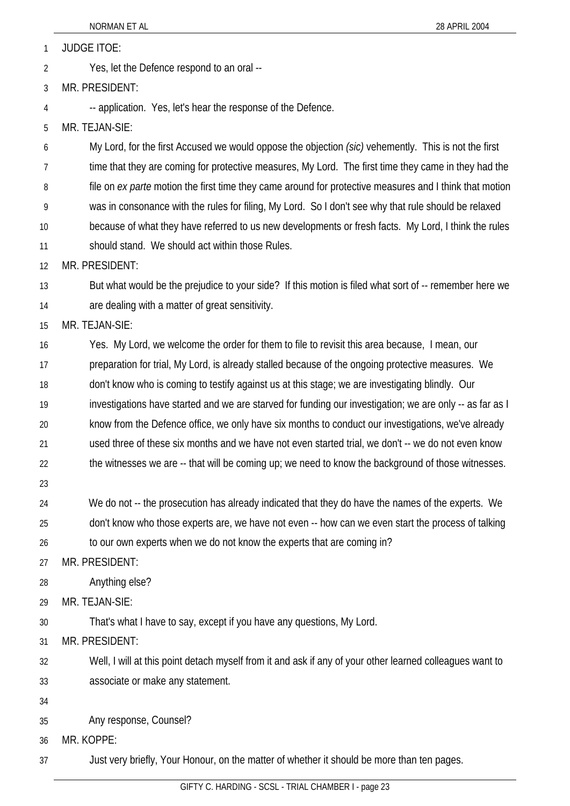JUDGE ITOE: 1

Yes, let the Defence respond to an oral -- 2

3 MR. PRESIDENT:

-- application. Yes, let's hear the response of the Defence.

5 MR. TEJAN-SIE:

4

6 7 8 9 10 11 My Lord, for the first Accused we would oppose the objection *(sic)* vehemently. This is not the first time that they are coming for protective measures, My Lord. The first time they came in they had the file on *ex parte* motion the first time they came around for protective measures and I think that motion was in consonance with the rules for filing, My Lord. So I don't see why that rule should be relaxed because of what they have referred to us new developments or fresh facts. My Lord, I think the rules should stand. We should act within those Rules.

12 MR. PRESIDENT:

13 14 But what would be the prejudice to your side? If this motion is filed what sort of -- remember here we are dealing with a matter of great sensitivity.

15 MR. TEJAN-SIE:

16 17 18 19 20 21 22 Yes. My Lord, we welcome the order for them to file to revisit this area because, I mean, our preparation for trial, My Lord, is already stalled because of the ongoing protective measures. We don't know who is coming to testify against us at this stage; we are investigating blindly. Our investigations have started and we are starved for funding our investigation; we are only -- as far as I know from the Defence office, we only have six months to conduct our investigations, we've already used three of these six months and we have not even started trial, we don't -- we do not even know the witnesses we are -- that will be coming up; we need to know the background of those witnesses.

23

24 25 We do not -- the prosecution has already indicated that they do have the names of the experts. We don't know who those experts are, we have not even -- how can we even start the process of talking

26 to our own experts when we do not know the experts that are coming in?

27 MR. PRESIDENT:

28 Anything else?

29 MR. TEJAN-SIE:

30 That's what I have to say, except if you have any questions, My Lord.

31 MR. PRESIDENT:

32 33 Well, I will at this point detach myself from it and ask if any of your other learned colleagues want to associate or make any statement.

34

35 Any response, Counsel?

36 MR. KOPPE:

37 Just very briefly, Your Honour, on the matter of whether it should be more than ten pages.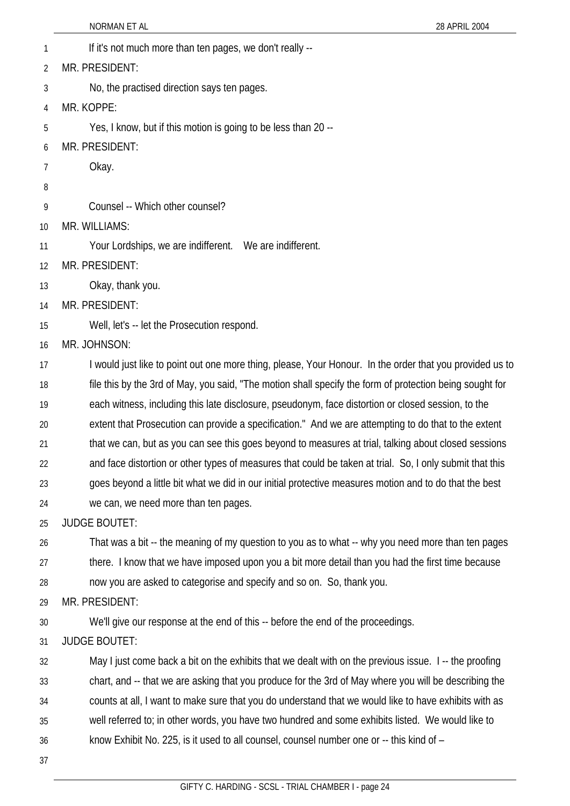- NORMAN ET AL 28 APRIL 2004 1 If it's not much more than ten pages, we don't really --2 3 4 5 6 7 8 9 10 11 12 13 14 15 16 17 18 19 20 21 22 23 24 25 26 27 28 29 30 31 32 33 34 35 36 MR. PRESIDENT: No, the practised direction says ten pages. MR. KOPPE: Yes, I know, but if this motion is going to be less than 20 -- MR. PRESIDENT: Okay. Counsel -- Which other counsel? MR. WILLIAMS: Your Lordships, we are indifferent. We are indifferent. MR. PRESIDENT: Okay, thank you. MR. PRESIDENT: Well, let's -- let the Prosecution respond. MR. JOHNSON: I would just like to point out one more thing, please, Your Honour. In the order that you provided us to file this by the 3rd of May, you said, "The motion shall specify the form of protection being sought for each witness, including this late disclosure, pseudonym, face distortion or closed session, to the extent that Prosecution can provide a specification." And we are attempting to do that to the extent that we can, but as you can see this goes beyond to measures at trial, talking about closed sessions and face distortion or other types of measures that could be taken at trial. So, I only submit that this goes beyond a little bit what we did in our initial protective measures motion and to do that the best we can, we need more than ten pages. JUDGE BOUTET: That was a bit -- the meaning of my question to you as to what -- why you need more than ten pages there. I know that we have imposed upon you a bit more detail than you had the first time because now you are asked to categorise and specify and so on. So, thank you. MR. PRESIDENT: We'll give our response at the end of this -- before the end of the proceedings. JUDGE BOUTET: May I just come back a bit on the exhibits that we dealt with on the previous issue. I -- the proofing chart, and -- that we are asking that you produce for the 3rd of May where you will be describing the counts at all, I want to make sure that you do understand that we would like to have exhibits with as well referred to; in other words, you have two hundred and some exhibits listed. We would like to know Exhibit No. 225, is it used to all counsel, counsel number one or -- this kind of –
- 37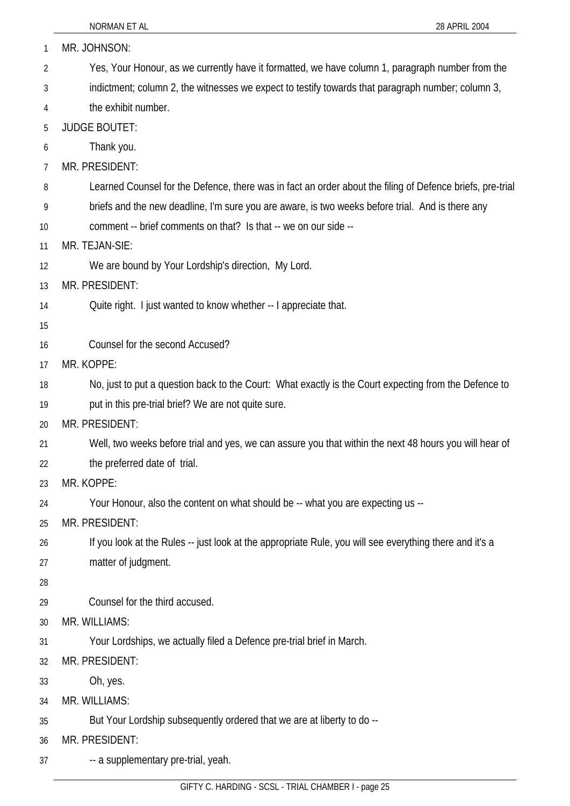| 1  | MR. JOHNSON:                                                                                              |
|----|-----------------------------------------------------------------------------------------------------------|
| 2  | Yes, Your Honour, as we currently have it formatted, we have column 1, paragraph number from the          |
| 3  | indictment; column 2, the witnesses we expect to testify towards that paragraph number; column 3,         |
| 4  | the exhibit number.                                                                                       |
| 5  | <b>JUDGE BOUTET:</b>                                                                                      |
| 6  | Thank you.                                                                                                |
| 7  | MR. PRESIDENT:                                                                                            |
| 8  | Learned Counsel for the Defence, there was in fact an order about the filing of Defence briefs, pre-trial |
| 9  | briefs and the new deadline, I'm sure you are aware, is two weeks before trial. And is there any          |
| 10 | comment -- brief comments on that? Is that -- we on our side --                                           |
| 11 | MR. TEJAN-SIE:                                                                                            |
| 12 | We are bound by Your Lordship's direction, My Lord.                                                       |
| 13 | MR. PRESIDENT:                                                                                            |
| 14 | Quite right. I just wanted to know whether -- I appreciate that.                                          |
| 15 |                                                                                                           |
| 16 | Counsel for the second Accused?                                                                           |
| 17 | MR. KOPPE:                                                                                                |
| 18 | No, just to put a question back to the Court: What exactly is the Court expecting from the Defence to     |
| 19 | put in this pre-trial brief? We are not quite sure.                                                       |
| 20 | MR. PRESIDENT:                                                                                            |
| 21 | Well, two weeks before trial and yes, we can assure you that within the next 48 hours you will hear of    |
| 22 | the preferred date of trial.                                                                              |
| 23 | MR. KOPPE:                                                                                                |
| 24 | Your Honour, also the content on what should be -- what you are expecting us --                           |
| 25 | MR. PRESIDENT:                                                                                            |
| 26 | If you look at the Rules -- just look at the appropriate Rule, you will see everything there and it's a   |
| 27 | matter of judgment.                                                                                       |
| 28 |                                                                                                           |
| 29 | Counsel for the third accused.                                                                            |
| 30 | MR. WILLIAMS:                                                                                             |
| 31 | Your Lordships, we actually filed a Defence pre-trial brief in March.                                     |
| 32 | MR. PRESIDENT:                                                                                            |
| 33 | Oh, yes.                                                                                                  |
| 34 | MR. WILLIAMS:                                                                                             |
| 35 | But Your Lordship subsequently ordered that we are at liberty to do --                                    |
| 36 | MR. PRESIDENT:                                                                                            |
| 37 | -- a supplementary pre-trial, yeah.                                                                       |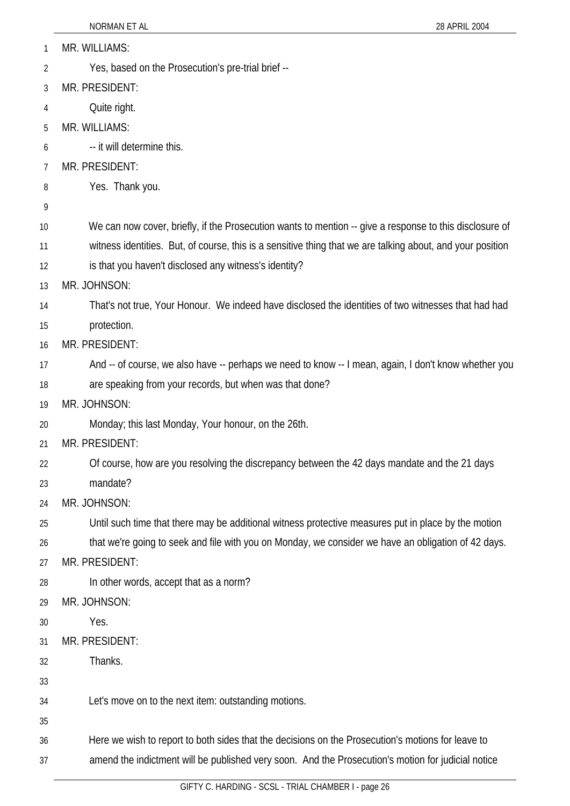| 1              | MR. WILLIAMS:                                                                                              |
|----------------|------------------------------------------------------------------------------------------------------------|
| $\overline{2}$ | Yes, based on the Prosecution's pre-trial brief --                                                         |
| 3              | MR. PRESIDENT:                                                                                             |
| 4              | Quite right.                                                                                               |
| 5              | MR. WILLIAMS:                                                                                              |
| 6              | -- it will determine this.                                                                                 |
| 7              | MR. PRESIDENT:                                                                                             |
| 8              | Yes. Thank you.                                                                                            |
| 9              |                                                                                                            |
| 10             | We can now cover, briefly, if the Prosecution wants to mention -- give a response to this disclosure of    |
| 11             | witness identities. But, of course, this is a sensitive thing that we are talking about, and your position |
| 12             | is that you haven't disclosed any witness's identity?                                                      |
| 13             | MR. JOHNSON:                                                                                               |
| 14             | That's not true, Your Honour. We indeed have disclosed the identities of two witnesses that had had        |
| 15             | protection.                                                                                                |
| 16             | MR. PRESIDENT:                                                                                             |
| 17             | And -- of course, we also have -- perhaps we need to know -- I mean, again, I don't know whether you       |
| 18             | are speaking from your records, but when was that done?                                                    |
| 19             | MR. JOHNSON:                                                                                               |
| 20             | Monday; this last Monday, Your honour, on the 26th.                                                        |
| 21             | MR. PRESIDENT:                                                                                             |
| 22             | Of course, how are you resolving the discrepancy between the 42 days mandate and the 21 days               |
| 23             | mandate?                                                                                                   |
| 24             | MR. JOHNSON:                                                                                               |
| 25             | Until such time that there may be additional witness protective measures put in place by the motion        |
| 26             | that we're going to seek and file with you on Monday, we consider we have an obligation of 42 days.        |
| 27             | MR. PRESIDENT:                                                                                             |
| 28             | In other words, accept that as a norm?                                                                     |
| 29             | MR. JOHNSON:                                                                                               |
| 30             | Yes.                                                                                                       |
| 31             | MR. PRESIDENT:                                                                                             |
| 32             | Thanks.                                                                                                    |
| 33             |                                                                                                            |
| 34             | Let's move on to the next item: outstanding motions.                                                       |
| 35             |                                                                                                            |
| 36             | Here we wish to report to both sides that the decisions on the Prosecution's motions for leave to          |
| 37             | amend the indictment will be published very soon. And the Prosecution's motion for judicial notice         |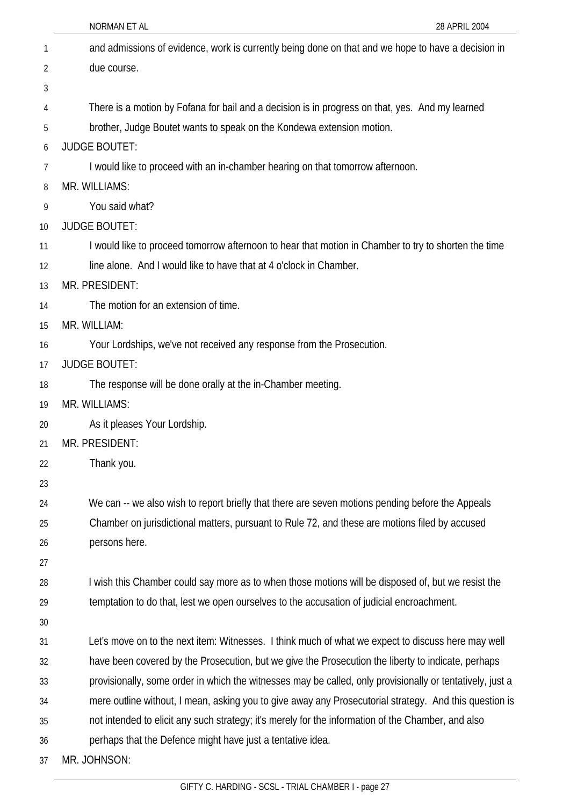|    | NORMAN ET AL<br>28 APRIL 2004                                                                             |
|----|-----------------------------------------------------------------------------------------------------------|
| 1  | and admissions of evidence, work is currently being done on that and we hope to have a decision in        |
| 2  | due course.                                                                                               |
| 3  |                                                                                                           |
| 4  | There is a motion by Fofana for bail and a decision is in progress on that, yes. And my learned           |
| 5  | brother, Judge Boutet wants to speak on the Kondewa extension motion.                                     |
| 6  | <b>JUDGE BOUTET:</b>                                                                                      |
| 7  | I would like to proceed with an in-chamber hearing on that tomorrow afternoon.                            |
| 8  | MR. WILLIAMS:                                                                                             |
| 9  | You said what?                                                                                            |
| 10 | <b>JUDGE BOUTET:</b>                                                                                      |
| 11 | I would like to proceed tomorrow afternoon to hear that motion in Chamber to try to shorten the time      |
| 12 | line alone. And I would like to have that at 4 o'clock in Chamber.                                        |
| 13 | MR. PRESIDENT:                                                                                            |
| 14 | The motion for an extension of time.                                                                      |
| 15 | MR. WILLIAM:                                                                                              |
| 16 | Your Lordships, we've not received any response from the Prosecution.                                     |
| 17 | <b>JUDGE BOUTET:</b>                                                                                      |
| 18 | The response will be done orally at the in-Chamber meeting.                                               |
| 19 | MR. WILLIAMS:                                                                                             |
| 20 | As it pleases Your Lordship.                                                                              |
| 21 | MR. PRESIDENT:                                                                                            |
| 22 | Thank you.                                                                                                |
| 23 |                                                                                                           |
| 24 | We can -- we also wish to report briefly that there are seven motions pending before the Appeals          |
| 25 | Chamber on jurisdictional matters, pursuant to Rule 72, and these are motions filed by accused            |
| 26 | persons here.                                                                                             |
| 27 |                                                                                                           |
| 28 | I wish this Chamber could say more as to when those motions will be disposed of, but we resist the        |
| 29 | temptation to do that, lest we open ourselves to the accusation of judicial encroachment.                 |
| 30 |                                                                                                           |
| 31 | Let's move on to the next item: Witnesses. I think much of what we expect to discuss here may well        |
| 32 | have been covered by the Prosecution, but we give the Prosecution the liberty to indicate, perhaps        |
| 33 | provisionally, some order in which the witnesses may be called, only provisionally or tentatively, just a |
| 34 | mere outline without, I mean, asking you to give away any Prosecutorial strategy. And this question is    |
| 35 | not intended to elicit any such strategy; it's merely for the information of the Chamber, and also        |
| 36 | perhaps that the Defence might have just a tentative idea.                                                |
| 37 | MR. JOHNSON:                                                                                              |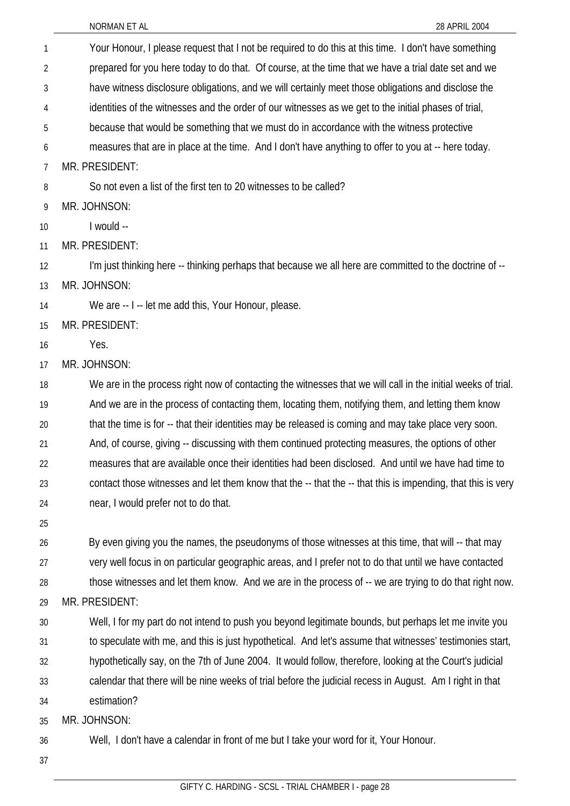| 1  | Your Honour, I please request that I not be required to do this at this time. I don't have something         |
|----|--------------------------------------------------------------------------------------------------------------|
| 2  | prepared for you here today to do that. Of course, at the time that we have a trial date set and we          |
| 3  | have witness disclosure obligations, and we will certainly meet those obligations and disclose the           |
| 4  | identities of the witnesses and the order of our witnesses as we get to the initial phases of trial,         |
| 5  | because that would be something that we must do in accordance with the witness protective                    |
| 6  | measures that are in place at the time. And I don't have anything to offer to you at -- here today.          |
| 7  | MR. PRESIDENT:                                                                                               |
| 8  | So not even a list of the first ten to 20 witnesses to be called?                                            |
| 9  | MR. JOHNSON:                                                                                                 |
| 10 | I would --                                                                                                   |
| 11 | MR. PRESIDENT:                                                                                               |
| 12 | I'm just thinking here -- thinking perhaps that because we all here are committed to the doctrine of --      |
| 13 | MR. JOHNSON:                                                                                                 |
| 14 | We are -- I -- let me add this, Your Honour, please.                                                         |
| 15 | MR. PRESIDENT:                                                                                               |
| 16 | Yes.                                                                                                         |
| 17 | MR. JOHNSON:                                                                                                 |
| 18 | We are in the process right now of contacting the witnesses that we will call in the initial weeks of trial. |
| 19 | And we are in the process of contacting them, locating them, notifying them, and letting them know           |
| 20 | that the time is for -- that their identities may be released is coming and may take place very soon.        |
| 21 | And, of course, giving -- discussing with them continued protecting measures, the options of other           |
| 22 | measures that are available once their identities had been disclosed. And until we have had time to          |
| 23 | contact those witnesses and let them know that the -- that the -- that this is impending, that this is very  |
| 24 | near, I would prefer not to do that.                                                                         |
| 25 |                                                                                                              |
| 26 | By even giving you the names, the pseudonyms of those witnesses at this time, that will -- that may          |
| 27 | very well focus in on particular geographic areas, and I prefer not to do that until we have contacted       |
| 28 | those witnesses and let them know. And we are in the process of -- we are trying to do that right now.       |
| 29 | MR. PRESIDENT:                                                                                               |
| 30 | Well, I for my part do not intend to push you beyond legitimate bounds, but perhaps let me invite you        |
| 31 | to speculate with me, and this is just hypothetical. And let's assume that witnesses' testimonies start,     |
| 32 | hypothetically say, on the 7th of June 2004. It would follow, therefore, looking at the Court's judicial     |
| 33 | calendar that there will be nine weeks of trial before the judicial recess in August. Am I right in that     |
| 34 | estimation?                                                                                                  |
| 35 | MR. JOHNSON:                                                                                                 |
| 36 | Well, I don't have a calendar in front of me but I take your word for it, Your Honour.                       |
| 37 |                                                                                                              |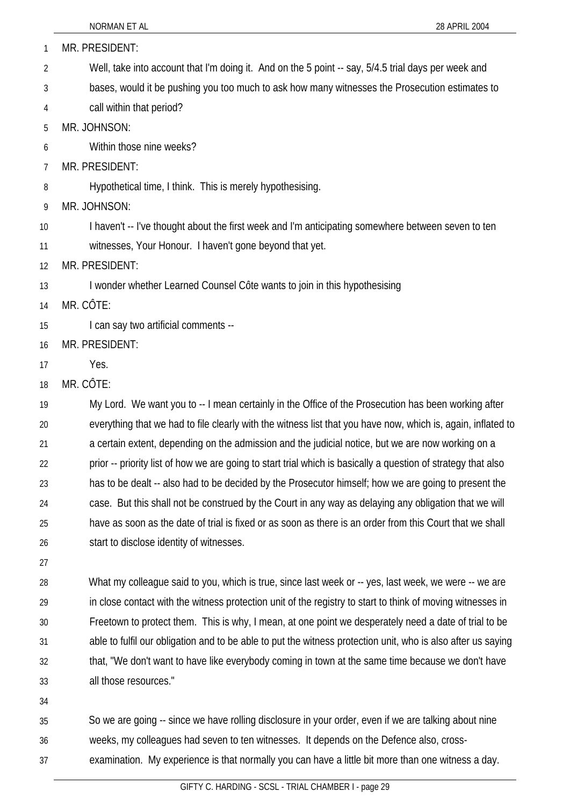| 1  | MR. PRESIDENT:                                                                                                |
|----|---------------------------------------------------------------------------------------------------------------|
| 2  | Well, take into account that I'm doing it. And on the 5 point -- say, 5/4.5 trial days per week and           |
| 3  | bases, would it be pushing you too much to ask how many witnesses the Prosecution estimates to                |
| 4  | call within that period?                                                                                      |
| 5  | MR. JOHNSON:                                                                                                  |
| 6  | Within those nine weeks?                                                                                      |
| 7  | MR. PRESIDENT:                                                                                                |
| 8  | Hypothetical time, I think. This is merely hypothesising.                                                     |
| 9  | MR. JOHNSON:                                                                                                  |
| 10 | I haven't -- I've thought about the first week and I'm anticipating somewhere between seven to ten            |
| 11 | witnesses, Your Honour. I haven't gone beyond that yet.                                                       |
| 12 | MR. PRESIDENT:                                                                                                |
| 13 | I wonder whether Learned Counsel Côte wants to join in this hypothesising                                     |
| 14 | MR. CÔTE:                                                                                                     |
| 15 | I can say two artificial comments --                                                                          |
| 16 | MR. PRESIDENT:                                                                                                |
| 17 | Yes.                                                                                                          |
| 18 | MR. CÔTE:                                                                                                     |
| 19 | My Lord. We want you to -- I mean certainly in the Office of the Prosecution has been working after           |
| 20 | everything that we had to file clearly with the witness list that you have now, which is, again, inflated to  |
| 21 | a certain extent, depending on the admission and the judicial notice, but we are now working on a             |
| 22 | prior -- priority list of how we are going to start trial which is basically a question of strategy that also |
| 23 | has to be dealt -- also had to be decided by the Prosecutor himself; how we are going to present the          |
| 24 | case. But this shall not be construed by the Court in any way as delaying any obligation that we will         |
| 25 | have as soon as the date of trial is fixed or as soon as there is an order from this Court that we shall      |
| 26 | start to disclose identity of witnesses.                                                                      |
| 27 |                                                                                                               |
| 28 | What my colleague said to you, which is true, since last week or -- yes, last week, we were -- we are         |
| 29 | in close contact with the witness protection unit of the registry to start to think of moving witnesses in    |
| 30 | Freetown to protect them. This is why, I mean, at one point we desperately need a date of trial to be         |
| 31 | able to fulfil our obligation and to be able to put the witness protection unit, who is also after us saying  |
| 32 | that, "We don't want to have like everybody coming in town at the same time because we don't have             |
| 33 | all those resources."                                                                                         |

34

35 36 So we are going -- since we have rolling disclosure in your order, even if we are talking about nine weeks, my colleagues had seven to ten witnesses. It depends on the Defence also, cross-

37 examination. My experience is that normally you can have a little bit more than one witness a day.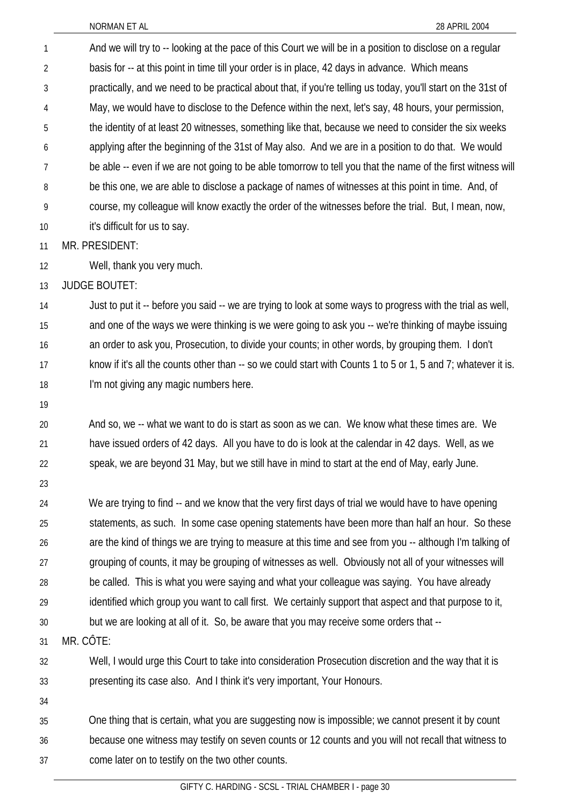NORMAN ET AL 28 APRIL 2004 And we will try to -- looking at the pace of this Court we will be in a position to disclose on a regular basis for -- at this point in time till your order is in place, 42 days in advance. Which means practically, and we need to be practical about that, if you're telling us today, you'll start on the 31st of May, we would have to disclose to the Defence within the next, let's say, 48 hours, your permission, the identity of at least 20 witnesses, something like that, because we need to consider the six weeks applying after the beginning of the 31st of May also. And we are in a position to do that. We would be able -- even if we are not going to be able tomorrow to tell you that the name of the first witness will be this one, we are able to disclose a package of names of witnesses at this point in time. And, of course, my colleague will know exactly the order of the witnesses before the trial. But, I mean, now, it's difficult for us to say. 1 2 3 4 5 6 7 8 9 10 11 12 13 14 15 16 17 18 19 20 21 22 23 24 25 26 27 MR. PRESIDENT: Well, thank you very much. JUDGE BOUTET: Just to put it -- before you said -- we are trying to look at some ways to progress with the trial as well, and one of the ways we were thinking is we were going to ask you -- we're thinking of maybe issuing an order to ask you, Prosecution, to divide your counts; in other words, by grouping them. I don't know if it's all the counts other than -- so we could start with Counts 1 to 5 or 1, 5 and 7; whatever it is. I'm not giving any magic numbers here. And so, we -- what we want to do is start as soon as we can. We know what these times are. We have issued orders of 42 days. All you have to do is look at the calendar in 42 days. Well, as we speak, we are beyond 31 May, but we still have in mind to start at the end of May, early June. We are trying to find -- and we know that the very first days of trial we would have to have opening statements, as such. In some case opening statements have been more than half an hour. So these are the kind of things we are trying to measure at this time and see from you -- although I'm talking of grouping of counts, it may be grouping of witnesses as well. Obviously not all of your witnesses will

28 be called. This is what you were saying and what your colleague was saying. You have already

29 identified which group you want to call first. We certainly support that aspect and that purpose to it,

30 but we are looking at all of it. So, be aware that you may receive some orders that --

31 MR. CÔTE:

32 33 Well, I would urge this Court to take into consideration Prosecution discretion and the way that it is presenting its case also. And I think it's very important, Your Honours.

34

35 36 37 One thing that is certain, what you are suggesting now is impossible; we cannot present it by count because one witness may testify on seven counts or 12 counts and you will not recall that witness to come later on to testify on the two other counts.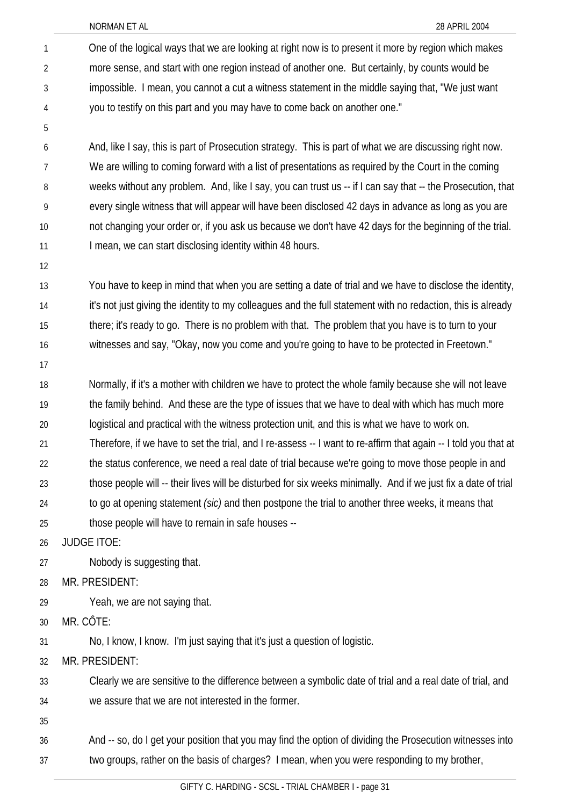NORMAN ET AL 28 APRIL 2004

One of the logical ways that we are looking at right now is to present it more by region which makes more sense, and start with one region instead of another one. But certainly, by counts would be impossible. I mean, you cannot a cut a witness statement in the middle saying that, "We just want you to testify on this part and you may have to come back on another one." 1 2 3 4

6 7 8 9 10 11 And, like I say, this is part of Prosecution strategy. This is part of what we are discussing right now. We are willing to coming forward with a list of presentations as required by the Court in the coming weeks without any problem. And, like I say, you can trust us -- if I can say that -- the Prosecution, that every single witness that will appear will have been disclosed 42 days in advance as long as you are not changing your order or, if you ask us because we don't have 42 days for the beginning of the trial. I mean, we can start disclosing identity within 48 hours.

12

5

13 14 15 16 You have to keep in mind that when you are setting a date of trial and we have to disclose the identity, it's not just giving the identity to my colleagues and the full statement with no redaction, this is already there; it's ready to go. There is no problem with that. The problem that you have is to turn to your witnesses and say, "Okay, now you come and you're going to have to be protected in Freetown."

17

18 19 20 Normally, if it's a mother with children we have to protect the whole family because she will not leave the family behind. And these are the type of issues that we have to deal with which has much more logistical and practical with the witness protection unit, and this is what we have to work on.

21 Therefore, if we have to set the trial, and I re-assess -- I want to re-affirm that again -- I told you that at

22 23 the status conference, we need a real date of trial because we're going to move those people in and those people will -- their lives will be disturbed for six weeks minimally. And if we just fix a date of trial

- 24 to go at opening statement *(sic)* and then postpone the trial to another three weeks, it means that
- 25 those people will have to remain in safe houses --

26 JUDGE ITOE:

27 Nobody is suggesting that.

28 MR. PRESIDENT:

29 Yeah, we are not saying that.

30 MR. CÔTE:

31 No, I know, I know. I'm just saying that it's just a question of logistic.

32 MR. PRESIDENT:

33 34 Clearly we are sensitive to the difference between a symbolic date of trial and a real date of trial, and we assure that we are not interested in the former.

35

36 37 And -- so, do I get your position that you may find the option of dividing the Prosecution witnesses into two groups, rather on the basis of charges? I mean, when you were responding to my brother,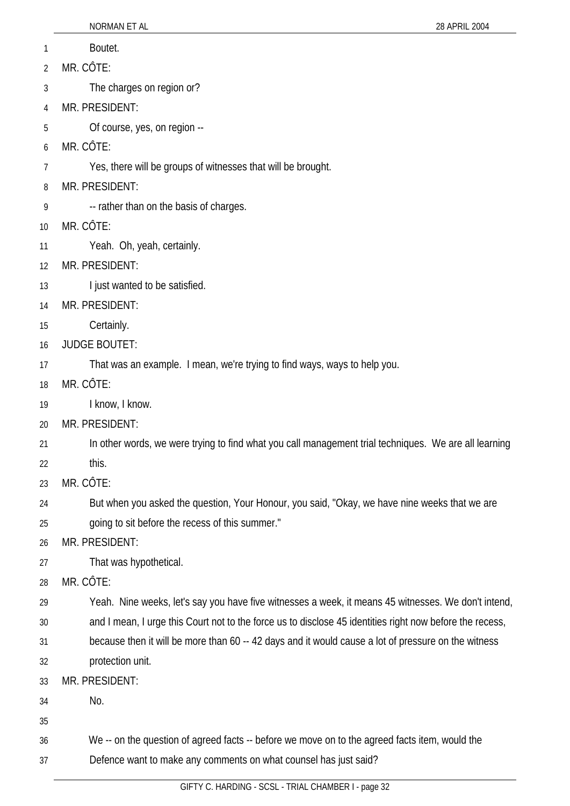- 1 Boutet.
- 2 MR. CÔTE:
- 3 The charges on region or?
- 4 MR. PRESIDENT:
- 5 Of course, yes, on region --
- 6 MR. CÔTE:
- 7 Yes, there will be groups of witnesses that will be brought.
- 8 MR. PRESIDENT:
- 9 -- rather than on the basis of charges.
- 10 MR. CÔTE:
- 11 Yeah. Oh, yeah, certainly.
- 12 MR. PRESIDENT:
- 13 I just wanted to be satisfied.
- 14 MR. PRESIDENT:
- 15 Certainly.
- 16 JUDGE BOUTET:
- 17 That was an example. I mean, we're trying to find ways, ways to help you.
- 18 MR. CÔTE:
- 19 I know, I know.
- 20 MR. PRESIDENT:
- 21 In other words, we were trying to find what you call management trial techniques. We are all learning
- 22 this.
- 23 MR. CÔTE:
- 24 But when you asked the question, Your Honour, you said, "Okay, we have nine weeks that we are
- 25 going to sit before the recess of this summer."
- 26 MR. PRESIDENT:
- 27 That was hypothetical.
- 28 MR. CÔTE:
- 29 Yeah. Nine weeks, let's say you have five witnesses a week, it means 45 witnesses. We don't intend,
- 30 and I mean, I urge this Court not to the force us to disclose 45 identities right now before the recess,
- 31 because then it will be more than 60 -- 42 days and it would cause a lot of pressure on the witness
- 32 protection unit.
- 33 MR. PRESIDENT:
- 34 No.
- 35
- 36 We -- on the question of agreed facts -- before we move on to the agreed facts item, would the
- 37 Defence want to make any comments on what counsel has just said?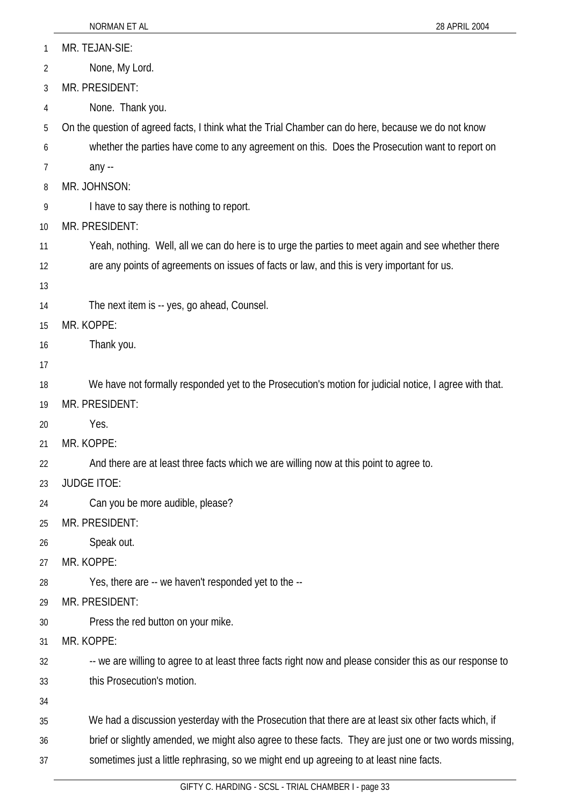| 1              | MR. TEJAN-SIE:                                                                                           |
|----------------|----------------------------------------------------------------------------------------------------------|
| $\overline{2}$ | None, My Lord.                                                                                           |
| 3              | MR. PRESIDENT:                                                                                           |
| 4              | None. Thank you.                                                                                         |
| 5              | On the question of agreed facts, I think what the Trial Chamber can do here, because we do not know      |
| 6              | whether the parties have come to any agreement on this. Does the Prosecution want to report on           |
| 7              | any --                                                                                                   |
| 8              | MR. JOHNSON:                                                                                             |
| 9              | I have to say there is nothing to report.                                                                |
| 10             | MR. PRESIDENT:                                                                                           |
| 11             | Yeah, nothing. Well, all we can do here is to urge the parties to meet again and see whether there       |
| 12             | are any points of agreements on issues of facts or law, and this is very important for us.               |
| 13             |                                                                                                          |
| 14             | The next item is -- yes, go ahead, Counsel.                                                              |
| 15             | MR. KOPPE:                                                                                               |
| 16             | Thank you.                                                                                               |
| 17             |                                                                                                          |
| 18             | We have not formally responded yet to the Prosecution's motion for judicial notice, I agree with that.   |
| 19             | MR. PRESIDENT:                                                                                           |
| 20             | Yes.                                                                                                     |
| 21             | MR. KOPPE:                                                                                               |
| 22             | And there are at least three facts which we are willing now at this point to agree to.                   |
| 23             | <b>JUDGE ITOE:</b>                                                                                       |
| 24             | Can you be more audible, please?                                                                         |
| 25             | MR. PRESIDENT:                                                                                           |
| 26             | Speak out.                                                                                               |
| 27             | MR. KOPPE:                                                                                               |
| 28             | Yes, there are -- we haven't responded yet to the --                                                     |
| 29             | MR. PRESIDENT:                                                                                           |
| 30             | Press the red button on your mike.                                                                       |
| 31             | MR. KOPPE:                                                                                               |
| 32             | -- we are willing to agree to at least three facts right now and please consider this as our response to |
| 33             | this Prosecution's motion.                                                                               |
| 34             |                                                                                                          |
| 35             | We had a discussion yesterday with the Prosecution that there are at least six other facts which, if     |
| 36             | brief or slightly amended, we might also agree to these facts. They are just one or two words missing,   |
| 37             | sometimes just a little rephrasing, so we might end up agreeing to at least nine facts.                  |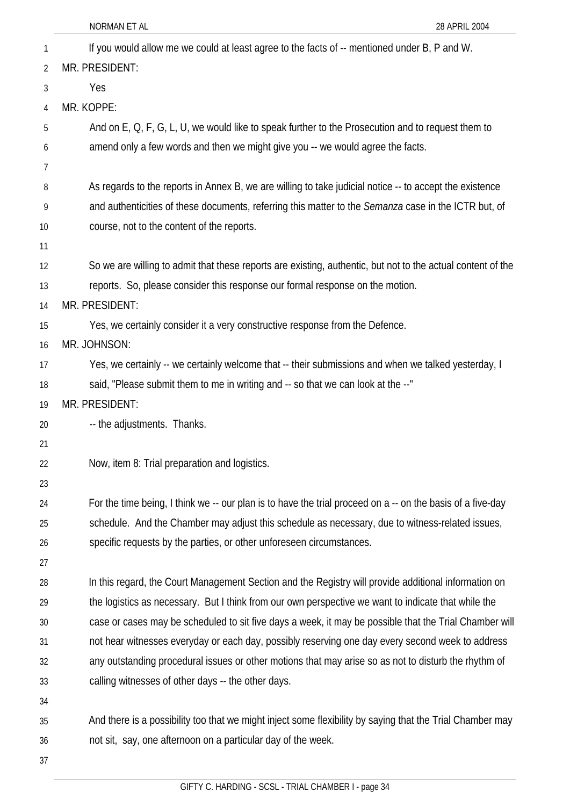|    | 28 APRIL 2004<br>NORMAN ET AL                                                                               |
|----|-------------------------------------------------------------------------------------------------------------|
| 1  | If you would allow me we could at least agree to the facts of -- mentioned under B, P and W.                |
| 2  | MR. PRESIDENT:                                                                                              |
| 3  | Yes                                                                                                         |
| 4  | MR. KOPPE:                                                                                                  |
| 5  | And on E, Q, F, G, L, U, we would like to speak further to the Prosecution and to request them to           |
| 6  | amend only a few words and then we might give you -- we would agree the facts.                              |
| 7  |                                                                                                             |
| 8  | As regards to the reports in Annex B, we are willing to take judicial notice -- to accept the existence     |
| 9  | and authenticities of these documents, referring this matter to the Semanza case in the ICTR but, of        |
| 10 | course, not to the content of the reports.                                                                  |
| 11 |                                                                                                             |
| 12 | So we are willing to admit that these reports are existing, authentic, but not to the actual content of the |
| 13 | reports. So, please consider this response our formal response on the motion.                               |
| 14 | MR. PRESIDENT:                                                                                              |
| 15 | Yes, we certainly consider it a very constructive response from the Defence.                                |
| 16 | MR. JOHNSON:                                                                                                |
| 17 | Yes, we certainly -- we certainly welcome that -- their submissions and when we talked yesterday, I         |
| 18 | said, "Please submit them to me in writing and -- so that we can look at the --"                            |
| 19 | MR. PRESIDENT:                                                                                              |
| 20 | -- the adjustments. Thanks.                                                                                 |
| 21 |                                                                                                             |
| 22 | Now, item 8: Trial preparation and logistics.                                                               |
| 23 |                                                                                                             |
| 24 | For the time being, I think we -- our plan is to have the trial proceed on a -- on the basis of a five-day  |
| 25 | schedule. And the Chamber may adjust this schedule as necessary, due to witness-related issues,             |
| 26 | specific requests by the parties, or other unforeseen circumstances.                                        |
| 27 |                                                                                                             |
| 28 | In this regard, the Court Management Section and the Registry will provide additional information on        |
| 29 | the logistics as necessary. But I think from our own perspective we want to indicate that while the         |
| 30 | case or cases may be scheduled to sit five days a week, it may be possible that the Trial Chamber will      |
| 31 | not hear witnesses everyday or each day, possibly reserving one day every second week to address            |
| 32 | any outstanding procedural issues or other motions that may arise so as not to disturb the rhythm of        |
| 33 | calling witnesses of other days -- the other days.                                                          |
| 34 |                                                                                                             |
| 35 | And there is a possibility too that we might inject some flexibility by saying that the Trial Chamber may   |
| 36 | not sit, say, one afternoon on a particular day of the week.                                                |
| 37 |                                                                                                             |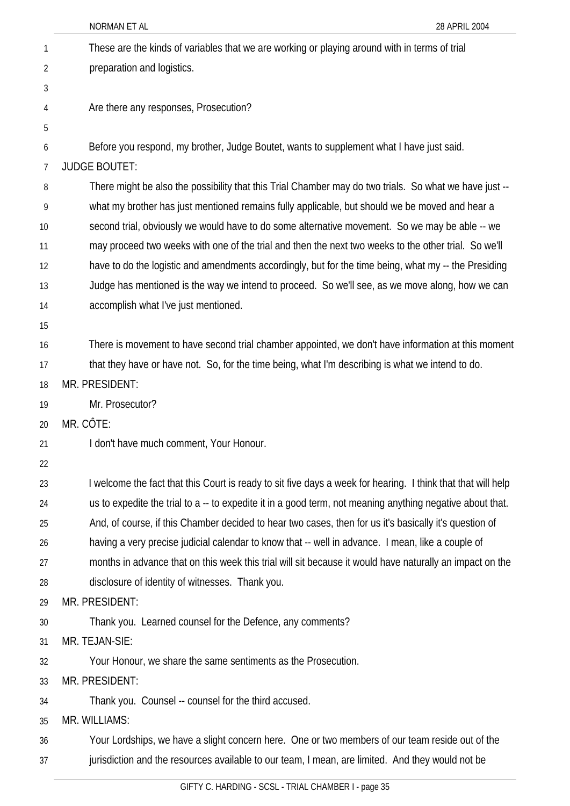|    | NORMAN ET AL<br>28 APRIL 2004                                                                                |
|----|--------------------------------------------------------------------------------------------------------------|
| 1  | These are the kinds of variables that we are working or playing around with in terms of trial                |
| 2  | preparation and logistics.                                                                                   |
| 3  |                                                                                                              |
| 4  | Are there any responses, Prosecution?                                                                        |
| 5  |                                                                                                              |
| 6  | Before you respond, my brother, Judge Boutet, wants to supplement what I have just said.                     |
| 7  | <b>JUDGE BOUTET:</b>                                                                                         |
| 8  | There might be also the possibility that this Trial Chamber may do two trials. So what we have just --       |
| 9  | what my brother has just mentioned remains fully applicable, but should we be moved and hear a               |
| 10 | second trial, obviously we would have to do some alternative movement. So we may be able -- we               |
| 11 | may proceed two weeks with one of the trial and then the next two weeks to the other trial. So we'll         |
| 12 | have to do the logistic and amendments accordingly, but for the time being, what my -- the Presiding         |
| 13 | Judge has mentioned is the way we intend to proceed. So we'll see, as we move along, how we can              |
| 14 | accomplish what I've just mentioned.                                                                         |
| 15 |                                                                                                              |
| 16 | There is movement to have second trial chamber appointed, we don't have information at this moment           |
| 17 | that they have or have not. So, for the time being, what I'm describing is what we intend to do.             |
| 18 | MR. PRESIDENT:                                                                                               |
| 19 | Mr. Prosecutor?                                                                                              |
| 20 | MR. CÔTE:                                                                                                    |
| 21 | I don't have much comment, Your Honour.                                                                      |
| 22 |                                                                                                              |
| 23 | I welcome the fact that this Court is ready to sit five days a week for hearing. I think that that will help |
| 24 | us to expedite the trial to a -- to expedite it in a good term, not meaning anything negative about that.    |
| 25 | And, of course, if this Chamber decided to hear two cases, then for us it's basically it's question of       |
| 26 | having a very precise judicial calendar to know that -- well in advance. I mean, like a couple of            |
| 27 | months in advance that on this week this trial will sit because it would have naturally an impact on the     |
| 28 | disclosure of identity of witnesses. Thank you.                                                              |
| 29 | MR. PRESIDENT:                                                                                               |
| 30 | Thank you. Learned counsel for the Defence, any comments?                                                    |
| 31 | MR. TEJAN-SIE:                                                                                               |
| 32 | Your Honour, we share the same sentiments as the Prosecution.                                                |
| 33 | MR. PRESIDENT:                                                                                               |
| 34 | Thank you. Counsel -- counsel for the third accused.                                                         |
| 35 | MR. WILLIAMS:                                                                                                |
| 36 | Your Lordships, we have a slight concern here. One or two members of our team reside out of the              |
| 37 | jurisdiction and the resources available to our team, I mean, are limited. And they would not be             |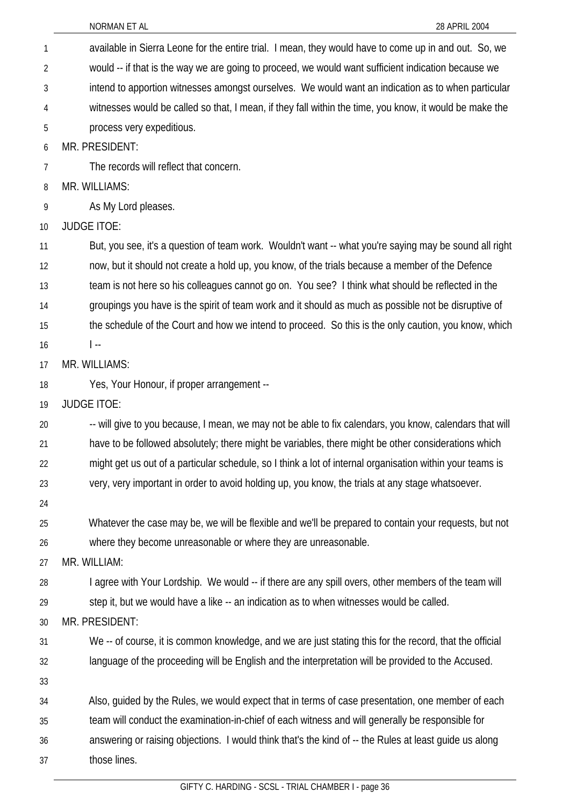| $\mathbf{1}$   | available in Sierra Leone for the entire trial. I mean, they would have to come up in and out. So, we     |
|----------------|-----------------------------------------------------------------------------------------------------------|
| 2              | would -- if that is the way we are going to proceed, we would want sufficient indication because we       |
| 3              | intend to apportion witnesses amongst ourselves. We would want an indication as to when particular        |
| 4              | witnesses would be called so that, I mean, if they fall within the time, you know, it would be make the   |
| 5              | process very expeditious.                                                                                 |
| 6              | MR. PRESIDENT:                                                                                            |
| $\overline{7}$ | The records will reflect that concern.                                                                    |
| 8              | MR. WILLIAMS:                                                                                             |
| 9              | As My Lord pleases.                                                                                       |
| 10             | <b>JUDGE ITOE:</b>                                                                                        |
| 11             | But, you see, it's a question of team work. Wouldn't want -- what you're saying may be sound all right    |
| 12             | now, but it should not create a hold up, you know, of the trials because a member of the Defence          |
| 13             | team is not here so his colleagues cannot go on. You see? I think what should be reflected in the         |
| 14             | groupings you have is the spirit of team work and it should as much as possible not be disruptive of      |
| 15             | the schedule of the Court and how we intend to proceed. So this is the only caution, you know, which      |
| 16             | $\vert \cdot$                                                                                             |
| 17             | MR. WILLIAMS:                                                                                             |
| 18             | Yes, Your Honour, if proper arrangement --                                                                |
| 19             | <b>JUDGE ITOE:</b>                                                                                        |
| 20             | -- will give to you because, I mean, we may not be able to fix calendars, you know, calendars that will   |
| 21             | have to be followed absolutely; there might be variables, there might be other considerations which       |
| 22             | might get us out of a particular schedule, so I think a lot of internal organisation within your teams is |
| 23             | very, very important in order to avoid holding up, you know, the trials at any stage whatsoever.          |
| 24             |                                                                                                           |
| 25             | Whatever the case may be, we will be flexible and we'll be prepared to contain your requests, but not     |
| 26             | where they become unreasonable or where they are unreasonable.                                            |
| 27             | MR. WILLIAM:                                                                                              |
| 28             | I agree with Your Lordship. We would -- if there are any spill overs, other members of the team will      |
| 29             | step it, but we would have a like -- an indication as to when witnesses would be called.                  |
| 30             | MR. PRESIDENT:                                                                                            |
| 31             | We -- of course, it is common knowledge, and we are just stating this for the record, that the official   |
| 32             | language of the proceeding will be English and the interpretation will be provided to the Accused.        |
| 33             |                                                                                                           |
| 34             | Also, guided by the Rules, we would expect that in terms of case presentation, one member of each         |
| 35             | team will conduct the examination-in-chief of each witness and will generally be responsible for          |
| 36             | answering or raising objections. I would think that's the kind of -- the Rules at least guide us along    |
| 37             | those lines.                                                                                              |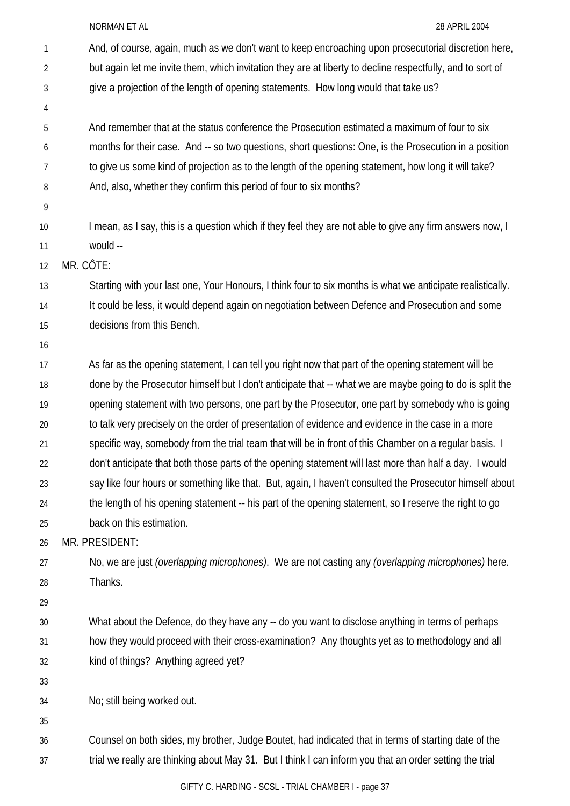| 1              | And, of course, again, much as we don't want to keep encroaching upon prosecutorial discretion here,             |
|----------------|------------------------------------------------------------------------------------------------------------------|
| $\overline{2}$ | but again let me invite them, which invitation they are at liberty to decline respectfully, and to sort of       |
| 3              | give a projection of the length of opening statements. How long would that take us?                              |
| 4              |                                                                                                                  |
| 5              | And remember that at the status conference the Prosecution estimated a maximum of four to six                    |
| 6              | months for their case. And -- so two questions, short questions: One, is the Prosecution in a position           |
| 7              | to give us some kind of projection as to the length of the opening statement, how long it will take?             |
| 8              | And, also, whether they confirm this period of four to six months?                                               |
| 9              |                                                                                                                  |
| 10             | I mean, as I say, this is a question which if they feel they are not able to give any firm answers now, I        |
| 11             | would --                                                                                                         |
| 12             | MR. CÔTE:                                                                                                        |
| 13             | Starting with your last one, Your Honours, I think four to six months is what we anticipate realistically.       |
| 14             | It could be less, it would depend again on negotiation between Defence and Prosecution and some                  |
| 15             | decisions from this Bench.                                                                                       |
| 16             |                                                                                                                  |
| 17             | As far as the opening statement, I can tell you right now that part of the opening statement will be             |
| 18             | done by the Prosecutor himself but I don't anticipate that -- what we are maybe going to do is split the         |
| 19             | opening statement with two persons, one part by the Prosecutor, one part by somebody who is going                |
| 20             | to talk very precisely on the order of presentation of evidence and evidence in the case in a more               |
| 21             | specific way, somebody from the trial team that will be in front of this Chamber on a regular basis. I           |
| 22             | don't anticipate that both those parts of the opening statement will last more than half a day. I would          |
| 23             | say like four hours or something like that. But, again, I haven't consulted the Prosecutor himself about         |
| 24             | the length of his opening statement -- his part of the opening statement, so I reserve the right to go           |
| 25             | back on this estimation.                                                                                         |
| 26             | MR. PRESIDENT:                                                                                                   |
| 27             | No, we are just <i>(overlapping microphones)</i> . We are not casting any <i>(overlapping microphones)</i> here. |
| 28             | Thanks.                                                                                                          |
| 29             |                                                                                                                  |
| 30             | What about the Defence, do they have any -- do you want to disclose anything in terms of perhaps                 |
| 31             | how they would proceed with their cross-examination? Any thoughts yet as to methodology and all                  |
| 32             | kind of things? Anything agreed yet?                                                                             |
| 33             |                                                                                                                  |
| 34             | No; still being worked out.                                                                                      |
| 35             |                                                                                                                  |
| 36             | Counsel on both sides, my brother, Judge Boutet, had indicated that in terms of starting date of the             |
| 37             | trial we really are thinking about May 31. But I think I can inform you that an order setting the trial          |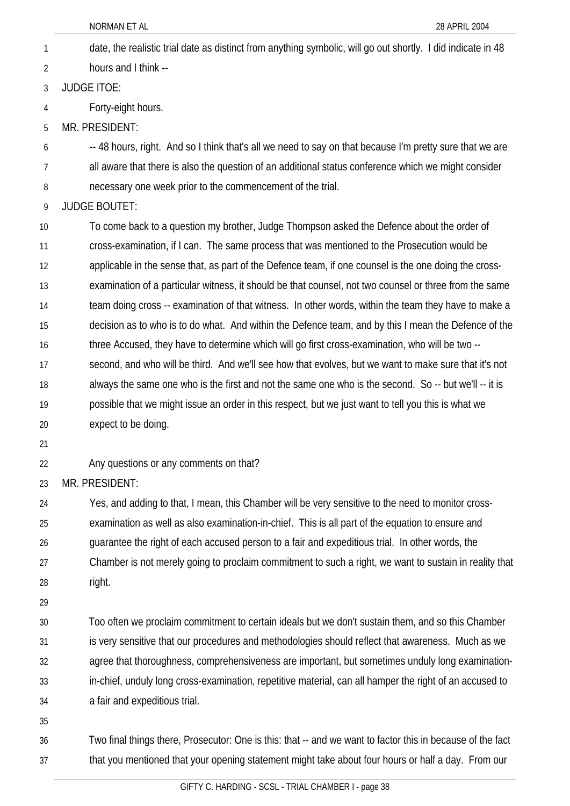NORMAN ET AL 28 APRIL 2004 date, the realistic trial date as distinct from anything symbolic, will go out shortly. I did indicate in 48 hours and I think -- 1 2 3 4 5 6 7 8 9 10 11 12 13 14 15 16 17 18 19 20 21 22 23 24 25 26 27 28 29 30 31 32 JUDGE ITOE: Forty-eight hours. MR. PRESIDENT: -- 48 hours, right. And so I think that's all we need to say on that because I'm pretty sure that we are all aware that there is also the question of an additional status conference which we might consider necessary one week prior to the commencement of the trial. JUDGE BOUTET: To come back to a question my brother, Judge Thompson asked the Defence about the order of cross-examination, if I can. The same process that was mentioned to the Prosecution would be applicable in the sense that, as part of the Defence team, if one counsel is the one doing the crossexamination of a particular witness, it should be that counsel, not two counsel or three from the same team doing cross -- examination of that witness. In other words, within the team they have to make a decision as to who is to do what. And within the Defence team, and by this I mean the Defence of the three Accused, they have to determine which will go first cross-examination, who will be two - second, and who will be third. And we'll see how that evolves, but we want to make sure that it's not always the same one who is the first and not the same one who is the second. So -- but we'll -- it is possible that we might issue an order in this respect, but we just want to tell you this is what we expect to be doing. Any questions or any comments on that? MR. PRESIDENT: Yes, and adding to that, I mean, this Chamber will be very sensitive to the need to monitor crossexamination as well as also examination-in-chief. This is all part of the equation to ensure and guarantee the right of each accused person to a fair and expeditious trial. In other words, the Chamber is not merely going to proclaim commitment to such a right, we want to sustain in reality that right. Too often we proclaim commitment to certain ideals but we don't sustain them, and so this Chamber is very sensitive that our procedures and methodologies should reflect that awareness. Much as we agree that thoroughness, comprehensiveness are important, but sometimes unduly long examination-

- 34 a fair and expeditious trial.
- 35

33

36 37 Two final things there, Prosecutor: One is this: that -- and we want to factor this in because of the fact that you mentioned that your opening statement might take about four hours or half a day. From our

in-chief, unduly long cross-examination, repetitive material, can all hamper the right of an accused to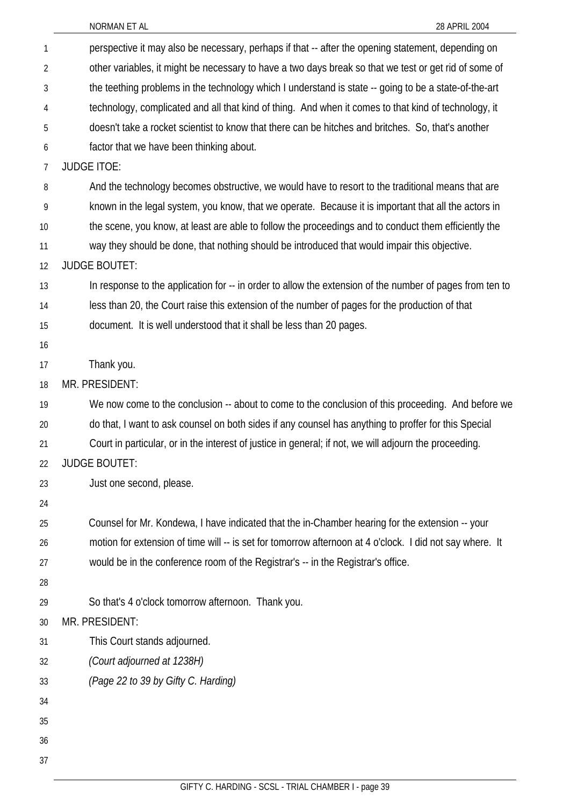| 1              | perspective it may also be necessary, perhaps if that -- after the opening statement, depending on       |
|----------------|----------------------------------------------------------------------------------------------------------|
| $\overline{2}$ | other variables, it might be necessary to have a two days break so that we test or get rid of some of    |
| 3              | the teething problems in the technology which I understand is state -- going to be a state-of-the-art    |
| 4              | technology, complicated and all that kind of thing. And when it comes to that kind of technology, it     |
| 5              | doesn't take a rocket scientist to know that there can be hitches and britches. So, that's another       |
| 6              | factor that we have been thinking about.                                                                 |
| 7              | <b>JUDGE ITOE:</b>                                                                                       |
| 8              | And the technology becomes obstructive, we would have to resort to the traditional means that are        |
| 9              | known in the legal system, you know, that we operate. Because it is important that all the actors in     |
| 10             | the scene, you know, at least are able to follow the proceedings and to conduct them efficiently the     |
| 11             | way they should be done, that nothing should be introduced that would impair this objective.             |
| 12             | <b>JUDGE BOUTET:</b>                                                                                     |
| 13             | In response to the application for -- in order to allow the extension of the number of pages from ten to |
| 14             | less than 20, the Court raise this extension of the number of pages for the production of that           |
| 15             | document. It is well understood that it shall be less than 20 pages.                                     |
| 16             |                                                                                                          |
| 17             | Thank you.                                                                                               |
| 18             | MR. PRESIDENT:                                                                                           |
| 19             | We now come to the conclusion -- about to come to the conclusion of this proceeding. And before we       |
| 20             | do that, I want to ask counsel on both sides if any counsel has anything to proffer for this Special     |
| 21             | Court in particular, or in the interest of justice in general; if not, we will adjourn the proceeding.   |
| 22             | <b>JUDGE BOUTET:</b>                                                                                     |
| 23             | Just one second, please.                                                                                 |
| 24             |                                                                                                          |
| 25             | Counsel for Mr. Kondewa, I have indicated that the in-Chamber hearing for the extension -- your          |
| 26             | motion for extension of time will -- is set for tomorrow afternoon at 4 o'clock. I did not say where. It |
| 27             | would be in the conference room of the Registrar's -- in the Registrar's office.                         |
| 28             |                                                                                                          |
| 29             | So that's 4 o'clock tomorrow afternoon. Thank you.                                                       |
| 30             | MR. PRESIDENT:                                                                                           |
| 31             | This Court stands adjourned.                                                                             |
| 32             | (Court adjourned at 1238H)                                                                               |
| 33             | (Page 22 to 39 by Gifty C. Harding)                                                                      |
| 34             |                                                                                                          |
| 35             |                                                                                                          |
| 36             |                                                                                                          |
| 37             |                                                                                                          |